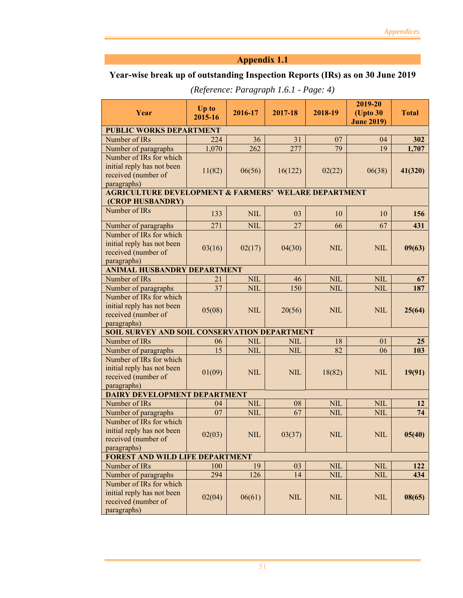# **Year-wise break up of outstanding Inspection Reports (IRs) as on 30 June 2019**

|                                                                 | Up to   |              |              |              | 2019-20                       |              |
|-----------------------------------------------------------------|---------|--------------|--------------|--------------|-------------------------------|--------------|
| Year                                                            | 2015-16 | 2016-17      | 2017-18      | 2018-19      | (Upto 30<br><b>June 2019)</b> | <b>Total</b> |
| <b>PUBLIC WORKS DEPARTMENT</b>                                  |         |              |              |              |                               |              |
| Number of IRs                                                   | 224     | 36           | 31           | 07           | 04                            | 302          |
| Number of paragraphs                                            | 1,070   | 262          | 277          | 79           | 19                            | 1,707        |
| Number of IRs for which                                         |         |              |              |              |                               |              |
| initial reply has not been                                      | 11(82)  | 06(56)       | 16(122)      | 02(22)       | 06(38)                        | 41(320)      |
| received (number of                                             |         |              |              |              |                               |              |
| paragraphs)                                                     |         |              |              |              |                               |              |
| <b>AGRICULTURE DEVELOPMENT &amp; FARMERS' WELARE DEPARTMENT</b> |         |              |              |              |                               |              |
| (CROP HUSBANDRY)                                                |         |              |              |              |                               |              |
| Number of IRs                                                   | 133     | <b>NIL</b>   | 03           | 10           | 10                            | 156          |
| Number of paragraphs                                            | 271     | <b>NIL</b>   | 27           | 66           | 67                            | 431          |
| Number of IRs for which                                         |         |              |              |              |                               |              |
| initial reply has not been                                      | 03(16)  | 02(17)       | 04(30)       | <b>NIL</b>   | <b>NIL</b>                    | 09(63)       |
| received (number of                                             |         |              |              |              |                               |              |
| paragraphs)                                                     |         |              |              |              |                               |              |
| <b>ANIMAL HUSBANDRY DEPARTMENT</b>                              |         |              |              |              |                               |              |
| Number of IRs                                                   | 21      | <b>NIL</b>   | 46           | <b>NIL</b>   | <b>NIL</b>                    | 67           |
| Number of paragraphs<br>Number of IRs for which                 | 37      | <b>NIL</b>   | 150          | <b>NIL</b>   | <b>NIL</b>                    | 187          |
| initial reply has not been                                      |         |              |              |              |                               |              |
| received (number of                                             | 05(08)  | <b>NIL</b>   | 20(56)       | <b>NIL</b>   | <b>NIL</b>                    | 25(64)       |
| paragraphs)                                                     |         |              |              |              |                               |              |
| SOIL SURVEY AND SOIL CONSERVATION DEPARTMENT                    |         |              |              |              |                               |              |
| Number of IRs                                                   | 06      | <b>NIL</b>   | <b>NIL</b>   | 18           | 01                            | 25           |
| Number of paragraphs                                            | 15      | <b>NIL</b>   | <b>NIL</b>   | 82           | 06                            | 103          |
| Number of IRs for which                                         |         |              |              |              |                               |              |
| initial reply has not been                                      | 01(09)  | <b>NIL</b>   | <b>NIL</b>   | 18(82)       | <b>NIL</b>                    | 19(91)       |
| received (number of                                             |         |              |              |              |                               |              |
| paragraphs)                                                     |         |              |              |              |                               |              |
| <b>DAIRY DEVELOPMENT DEPARTMENT</b>                             |         |              |              |              |                               |              |
| Number of IRs                                                   | 04      | <b>NIL</b>   | 08           | <b>NIL</b>   | <b>NIL</b>                    | 12           |
| Number of paragraphs<br>Number of IRs for which                 | 07      | <b>NIL</b>   | 67           | <b>NIL</b>   | <b>NIL</b>                    | 74           |
| initial reply has not been                                      |         |              |              |              |                               |              |
| received (number of                                             | 02(03)  | $\mbox{NIL}$ | 03(37)       | <b>NIL</b>   | <b>NIL</b>                    | 05(40)       |
| paragraphs)                                                     |         |              |              |              |                               |              |
| <b>FOREST AND WILD LIFE DEPARTMENT</b>                          |         |              |              |              |                               |              |
| Number of IRs                                                   | 100     | 19           | 03           | <b>NIL</b>   | <b>NIL</b>                    | 122          |
| Number of paragraphs                                            | 294     | 126          | 14           | <b>NIL</b>   | <b>NIL</b>                    | 434          |
| Number of IRs for which                                         |         |              |              |              |                               |              |
| initial reply has not been                                      |         |              |              |              |                               |              |
| received (number of                                             | 02(04)  | 06(61)       | $\mbox{NIL}$ | $\mbox{NIL}$ | <b>NIL</b>                    | 08(65)       |
| paragraphs)                                                     |         |              |              |              |                               |              |

*(Reference: Paragraph 1.6.1 - Page: 4)*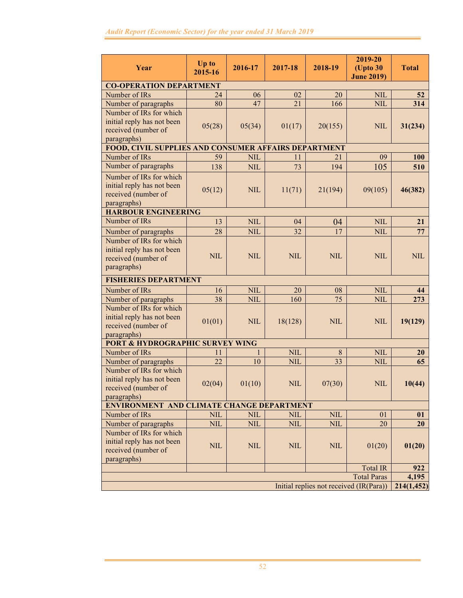| Year                                                                                        | Up to        | 2016-17    | 2017-18      | 2018-19    | 2019-20<br>(Upto 30 | <b>Total</b> |
|---------------------------------------------------------------------------------------------|--------------|------------|--------------|------------|---------------------|--------------|
|                                                                                             | 2015-16      |            |              |            | <b>June 2019)</b>   |              |
| <b>CO-OPERATION DEPARTMENT</b>                                                              |              |            |              |            |                     |              |
| Number of IRs                                                                               | 24           | 06         | 02           | 20         | <b>NIL</b>          | 52           |
| Number of paragraphs                                                                        | 80           | 47         | 21           | 166        | <b>NIL</b>          | 314          |
| Number of IRs for which<br>initial reply has not been<br>received (number of<br>paragraphs) | 05(28)       | 05(34)     | 01(17)       | 20(155)    | <b>NIL</b>          | 31(234)      |
| FOOD, CIVIL SUPPLIES AND CONSUMER AFFAIRS DEPARTMENT                                        |              |            |              |            |                     |              |
| Number of IRs                                                                               | 59           | <b>NIL</b> | 11           | 21         | 09                  | 100          |
| Number of paragraphs                                                                        | 138          | <b>NIL</b> | 73           | 194        | 105                 | 510          |
| Number of IRs for which<br>initial reply has not been<br>received (number of<br>paragraphs) | 05(12)       | <b>NIL</b> | 11(71)       | 21(194)    | 09(105)             | 46(382)      |
| <b>HARBOUR ENGINEERING</b>                                                                  |              |            |              |            |                     |              |
| Number of IRs                                                                               | 13           | <b>NIL</b> | 04           | 04         | <b>NIL</b>          | 21           |
| Number of paragraphs                                                                        | 28           | <b>NIL</b> | 32           | 17         | <b>NIL</b>          | 77           |
| Number of IRs for which<br>initial reply has not been<br>received (number of<br>paragraphs) | <b>NIL</b>   | <b>NIL</b> | <b>NIL</b>   | <b>NIL</b> | <b>NIL</b>          | <b>NIL</b>   |
| <b>FISHERIES DEPARTMENT</b>                                                                 |              |            |              |            |                     |              |
| Number of IRs                                                                               | 16           | <b>NIL</b> | 20           | 08         | <b>NIL</b>          | 44           |
| Number of paragraphs                                                                        | 38           | <b>NIL</b> | 160          | 75         | <b>NIL</b>          | 273          |
| Number of IRs for which<br>initial reply has not been<br>received (number of<br>paragraphs) | 01(01)       | <b>NIL</b> | 18(128)      | <b>NIL</b> | <b>NIL</b>          | 19(129)      |
| <b>PORT &amp; HYDROGRAPHIC SURVEY WING</b>                                                  |              |            |              |            |                     |              |
| Number of IRs                                                                               | 11           |            | <b>NIL</b>   | 8          | <b>NIL</b>          | <b>20</b>    |
| Number of paragraphs                                                                        | 22           | 10         | <b>NIL</b>   | 33         | <b>NIL</b>          | 65           |
| Number of IRs for which<br>initial reply has not been<br>received (number of<br>paragraphs) | 02(04)       | 01(10)     | <b>NIL</b>   | 07(30)     | <b>NIL</b>          | 10(44)       |
| <b>ENVIRONMENT AND CLIMATE CHANGE DEPARTMENT</b>                                            |              |            |              |            |                     |              |
| Number of IRs                                                                               | <b>NIL</b>   | <b>NIL</b> | <b>NIL</b>   | <b>NIL</b> | 01                  | 01           |
| Number of paragraphs                                                                        | <b>NIL</b>   | <b>NIL</b> | <b>NIL</b>   | <b>NIL</b> | 20                  | 20           |
| Number of IRs for which<br>initial reply has not been<br>received (number of<br>paragraphs) | $\mbox{NIL}$ | <b>NIL</b> | $\mbox{NIL}$ | <b>NIL</b> | 01(20)              | 01(20)       |
|                                                                                             |              |            |              |            | <b>Total IR</b>     | 922          |
|                                                                                             |              |            |              |            | <b>Total Paras</b>  | 4,195        |
| Initial replies not received (IR(Para))                                                     |              |            |              |            | 214(1,452)          |              |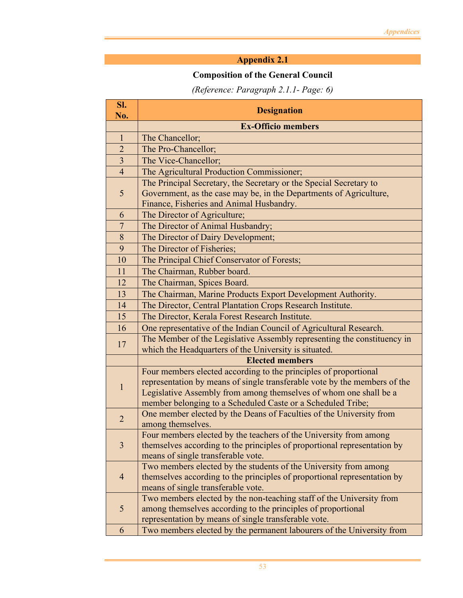# **Composition of the General Council**

# *(Reference: Paragraph 2.1.1- Page: 6)*

| SI.<br>No.     | <b>Designation</b>                                                                                                               |
|----------------|----------------------------------------------------------------------------------------------------------------------------------|
|                | <b>Ex-Officio members</b>                                                                                                        |
| $\mathbf{1}$   | The Chancellor;                                                                                                                  |
| $\overline{2}$ | The Pro-Chancellor;                                                                                                              |
| $\overline{3}$ | The Vice-Chancellor;                                                                                                             |
| $\overline{4}$ | The Agricultural Production Commissioner;                                                                                        |
|                | The Principal Secretary, the Secretary or the Special Secretary to                                                               |
| 5              | Government, as the case may be, in the Departments of Agriculture,                                                               |
|                | Finance, Fisheries and Animal Husbandry.                                                                                         |
| 6              | The Director of Agriculture;                                                                                                     |
| $\overline{7}$ | The Director of Animal Husbandry;                                                                                                |
| 8              | The Director of Dairy Development;                                                                                               |
| 9              | The Director of Fisheries;                                                                                                       |
| 10             | The Principal Chief Conservator of Forests;                                                                                      |
| 11             | The Chairman, Rubber board.                                                                                                      |
| 12             | The Chairman, Spices Board.                                                                                                      |
| 13             | The Chairman, Marine Products Export Development Authority.                                                                      |
| 14             | The Director, Central Plantation Crops Research Institute.                                                                       |
| 15             | The Director, Kerala Forest Research Institute.                                                                                  |
| 16             | One representative of the Indian Council of Agricultural Research.                                                               |
| 17             | The Member of the Legislative Assembly representing the constituency in                                                          |
|                | which the Headquarters of the University is situated.                                                                            |
|                | <b>Elected members</b>                                                                                                           |
|                | Four members elected according to the principles of proportional                                                                 |
| $\mathbf{1}$   | representation by means of single transferable vote by the members of the                                                        |
|                | Legislative Assembly from among themselves of whom one shall be a<br>member belonging to a Scheduled Caste or a Scheduled Tribe; |
|                | One member elected by the Deans of Faculties of the University from                                                              |
| $\overline{2}$ | among themselves.                                                                                                                |
|                | Four members elected by the teachers of the University from among                                                                |
| $\overline{3}$ | themselves according to the principles of proportional representation by                                                         |
|                | means of single transferable vote.                                                                                               |
| $\overline{4}$ | Two members elected by the students of the University from among                                                                 |
|                | themselves according to the principles of proportional representation by                                                         |
|                | means of single transferable vote.                                                                                               |
|                | Two members elected by the non-teaching staff of the University from                                                             |
| 5              | among themselves according to the principles of proportional                                                                     |
|                | representation by means of single transferable vote.                                                                             |
| 6              | Two members elected by the permanent labourers of the University from                                                            |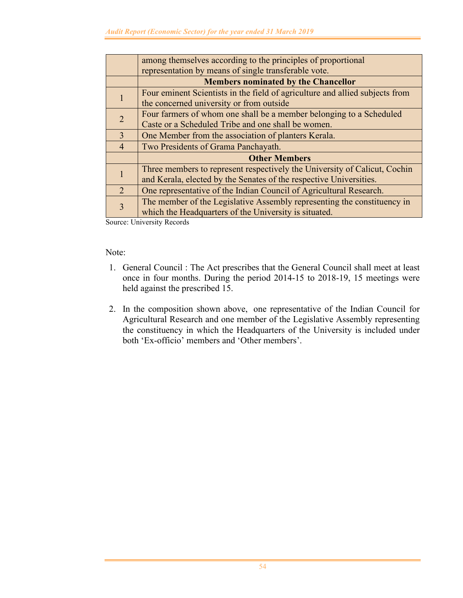|                | among themselves according to the principles of proportional                 |  |  |
|----------------|------------------------------------------------------------------------------|--|--|
|                | representation by means of single transferable vote.                         |  |  |
|                | <b>Members nominated by the Chancellor</b>                                   |  |  |
|                | Four eminent Scientists in the field of agriculture and allied subjects from |  |  |
|                | the concerned university or from outside                                     |  |  |
| $\overline{2}$ | Four farmers of whom one shall be a member belonging to a Scheduled          |  |  |
|                | Caste or a Scheduled Tribe and one shall be women.                           |  |  |
| 3              | One Member from the association of planters Kerala.                          |  |  |
| $\overline{4}$ | Two Presidents of Grama Panchayath.                                          |  |  |
|                | <b>Other Members</b>                                                         |  |  |
|                | Three members to represent respectively the University of Calicut, Cochin    |  |  |
|                | and Kerala, elected by the Senates of the respective Universities.           |  |  |
| $\mathcal{D}$  | One representative of the Indian Council of Agricultural Research.           |  |  |
|                | The member of the Legislative Assembly representing the constituency in      |  |  |
| 3              | which the Headquarters of the University is situated.                        |  |  |

Source: University Records

#### Note:

- 1. General Council : The Act prescribes that the General Council shall meet at least once in four months. During the period 2014-15 to 2018-19, 15 meetings were held against the prescribed 15.
- 2. In the composition shown above, one representative of the Indian Council for Agricultural Research and one member of the Legislative Assembly representing the constituency in which the Headquarters of the University is included under both 'Ex-officio' members and 'Other members'.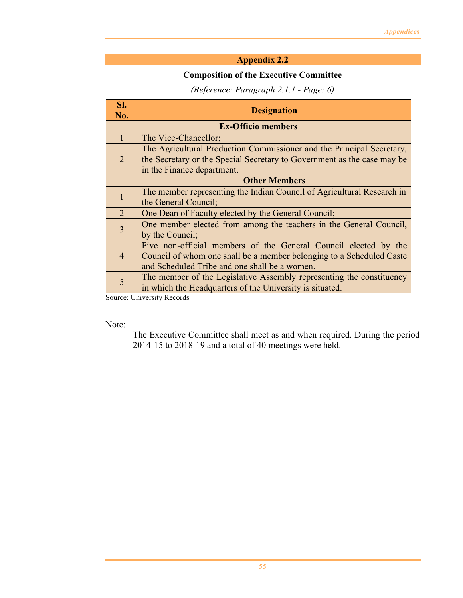### **Composition of the Executive Committee**

## *(Reference: Paragraph 2.1.1 - Page: 6)*

| SI.            | <b>Designation</b>                                                      |
|----------------|-------------------------------------------------------------------------|
| No.            |                                                                         |
|                | <b>Ex-Officio members</b>                                               |
| $\mathbf{1}$   | The Vice-Chancellor;                                                    |
|                | The Agricultural Production Commissioner and the Principal Secretary,   |
| 2              | the Secretary or the Special Secretary to Government as the case may be |
|                | in the Finance department.                                              |
|                | <b>Other Members</b>                                                    |
| $\mathbf 1$    | The member representing the Indian Council of Agricultural Research in  |
|                | the General Council;                                                    |
| 2              | One Dean of Faculty elected by the General Council;                     |
| $\overline{3}$ | One member elected from among the teachers in the General Council,      |
|                | by the Council;                                                         |
|                | Five non-official members of the General Council elected by the         |
| $\overline{4}$ | Council of whom one shall be a member belonging to a Scheduled Caste    |
|                | and Scheduled Tribe and one shall be a women.                           |
| 5              | The member of the Legislative Assembly representing the constituency    |
|                | in which the Headquarters of the University is situated.                |

Source: University Records

Note:

The Executive Committee shall meet as and when required. During the period 2014-15 to 2018-19 and a total of 40 meetings were held.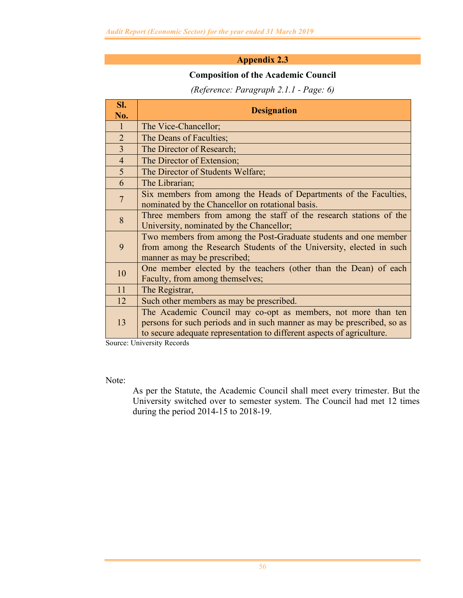## **Composition of the Academic Council**

## *(Reference: Paragraph 2.1.1 - Page: 6)*

| SI.<br>No.     | <b>Designation</b>                                                      |
|----------------|-------------------------------------------------------------------------|
| $\overline{1}$ | The Vice-Chancellor;                                                    |
| 2              | The Deans of Faculties;                                                 |
| $\overline{3}$ | The Director of Research;                                               |
| $\overline{4}$ | The Director of Extension;                                              |
| 5 <sup>5</sup> | The Director of Students Welfare;                                       |
| 6              | The Librarian;                                                          |
| $\overline{7}$ | Six members from among the Heads of Departments of the Faculties,       |
|                | nominated by the Chancellor on rotational basis.                        |
| 8              | Three members from among the staff of the research stations of the      |
|                | University, nominated by the Chancellor;                                |
|                | Two members from among the Post-Graduate students and one member        |
| 9              | from among the Research Students of the University, elected in such     |
|                | manner as may be prescribed;                                            |
| 10             | One member elected by the teachers (other than the Dean) of each        |
|                | Faculty, from among themselves;                                         |
| 11             | The Registrar,                                                          |
| 12             | Such other members as may be prescribed.                                |
| 13             | The Academic Council may co-opt as members, not more than ten           |
|                | persons for such periods and in such manner as may be prescribed, so as |
|                | to secure adequate representation to different aspects of agriculture.  |

Source: University Records

Note:

As per the Statute, the Academic Council shall meet every trimester. But the University switched over to semester system. The Council had met 12 times during the period 2014-15 to 2018-19.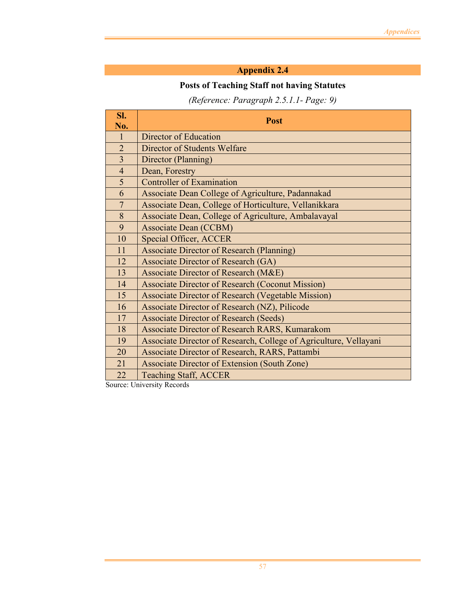## **Posts of Teaching Staff not having Statutes**

# *(Reference: Paragraph 2.5.1.1- Page: 9)*

| Sl.<br>No.     | <b>Post</b>                                                       |
|----------------|-------------------------------------------------------------------|
| 1              | Director of Education                                             |
| $\overline{2}$ | <b>Director of Students Welfare</b>                               |
| 3              | Director (Planning)                                               |
| $\overline{4}$ | Dean, Forestry                                                    |
| 5              | <b>Controller of Examination</b>                                  |
| 6              | Associate Dean College of Agriculture, Padannakad                 |
| $\overline{7}$ | Associate Dean, College of Horticulture, Vellanikkara             |
| 8              | Associate Dean, College of Agriculture, Ambalavayal               |
| 9              | <b>Associate Dean (CCBM)</b>                                      |
| 10             | Special Officer, ACCER                                            |
| 11             | <b>Associate Director of Research (Planning)</b>                  |
| 12             | Associate Director of Research (GA)                               |
| 13             | <b>Associate Director of Research (M&amp;E)</b>                   |
| 14             | <b>Associate Director of Research (Coconut Mission)</b>           |
| 15             | <b>Associate Director of Research (Vegetable Mission)</b>         |
| 16             | Associate Director of Research (NZ), Pilicode                     |
| 17             | <b>Associate Director of Research (Seeds)</b>                     |
| 18             | Associate Director of Research RARS, Kumarakom                    |
| 19             | Associate Director of Research, College of Agriculture, Vellayani |
| 20             | Associate Director of Research, RARS, Pattambi                    |
| 21             | Associate Director of Extension (South Zone)                      |
| 22             | <b>Teaching Staff, ACCER</b>                                      |

Source: University Records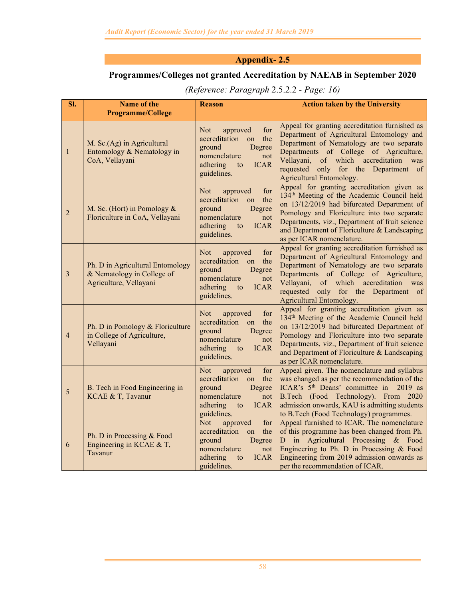## **Programmes/Colleges not granted Accreditation by NAEAB in September 2020**

| SI.            | <b>Name of the</b><br><b>Programme/College</b>                                           | <b>Reason</b>                                                                                                                                          | <b>Action taken by the University</b>                                                                                                                                                                                                                                                                                            |
|----------------|------------------------------------------------------------------------------------------|--------------------------------------------------------------------------------------------------------------------------------------------------------|----------------------------------------------------------------------------------------------------------------------------------------------------------------------------------------------------------------------------------------------------------------------------------------------------------------------------------|
| $\mathbf{1}$   | M. Sc.(Ag) in Agricultural<br>Entomology & Nematology in<br>CoA, Vellayani               | <b>Not</b><br>for<br>approved<br>accreditation<br>the<br>on<br>ground<br>Degree<br>nomenclature<br>not<br>adhering<br><b>ICAR</b><br>to<br>guidelines. | Appeal for granting accreditation furnished as<br>Department of Agricultural Entomology and<br>Department of Nematology are two separate<br>Departments of College of Agriculture,<br>Vellayani, of which accreditation was<br>requested only for the Department of<br>Agricultural Entomology.                                  |
| $\overline{2}$ | M. Sc. (Hort) in Pomology &<br>Floriculture in CoA, Vellayani                            | <b>Not</b><br>for<br>approved<br>accreditation<br>the<br>on<br>ground<br>Degree<br>nomenclature<br>not<br><b>ICAR</b><br>adhering<br>to<br>guidelines. | Appeal for granting accreditation given as<br>134 <sup>th</sup> Meeting of the Academic Council held<br>on 13/12/2019 had bifurcated Department of<br>Pomology and Floriculture into two separate<br>Departments, viz., Department of fruit science<br>and Department of Floriculture & Landscaping<br>as per ICAR nomenclature. |
| 3              | Ph. D in Agricultural Entomology<br>& Nematology in College of<br>Agriculture, Vellayani | for<br><b>Not</b><br>approved<br>accreditation<br>the<br>on<br>ground<br>Degree<br>nomenclature<br>not<br>adhering<br><b>ICAR</b><br>to<br>guidelines. | Appeal for granting accreditation furnished as<br>Department of Agricultural Entomology and<br>Department of Nematology are two separate<br>Departments of College of Agriculture,<br>Vellayani,<br>of which accreditation was<br>requested only for the Department of<br>Agricultural Entomology.                               |
| $\overline{4}$ | Ph. D in Pomology & Floriculture<br>in College of Agriculture,<br>Vellayani              | Not<br>for<br>approved<br>accreditation<br>on<br>the<br>ground<br>Degree<br>nomenclature<br>not<br>adhering<br><b>ICAR</b><br>to<br>guidelines.        | Appeal for granting accreditation given as<br>134 <sup>th</sup> Meeting of the Academic Council held<br>on 13/12/2019 had bifurcated Department of<br>Pomology and Floriculture into two separate<br>Departments, viz., Department of fruit science<br>and Department of Floriculture & Landscaping<br>as per ICAR nomenclature. |
| 5              | B. Tech in Food Engineering in<br>KCAE & T, Tavanur                                      | approved<br>for<br><b>Not</b><br>accreditation<br>the<br>on<br>ground<br>Degree<br>nomenclature<br>not<br>adhering<br><b>ICAR</b><br>to<br>guidelines. | Appeal given. The nomenclature and syllabus<br>was changed as per the recommendation of the<br>ICAR's 5 <sup>th</sup> Deans' committee in<br>$2019$ as<br>B.Tech (Food Technology). From 2020<br>admission onwards, KAU is admitting students<br>to B.Tech (Food Technology) programmes.                                         |
| 6              | Ph. D in Processing & Food<br>Engineering in KCAE & T,<br>Tavanur                        | <b>Not</b><br>approved<br>for<br>accreditation<br>on<br>the<br>ground<br>Degree<br>nomenclature<br>not<br>adhering<br><b>ICAR</b><br>to<br>guidelines. | Appeal furnished to ICAR. The nomenclature<br>of this programme has been changed from Ph.<br>in Agricultural Processing & Food<br>D<br>Engineering to Ph. D in Processing & Food<br>Engineering from 2019 admission onwards as<br>per the recommendation of ICAR.                                                                |

## *(Reference: Paragraph* 2.5.2.2 *- Page: 16)*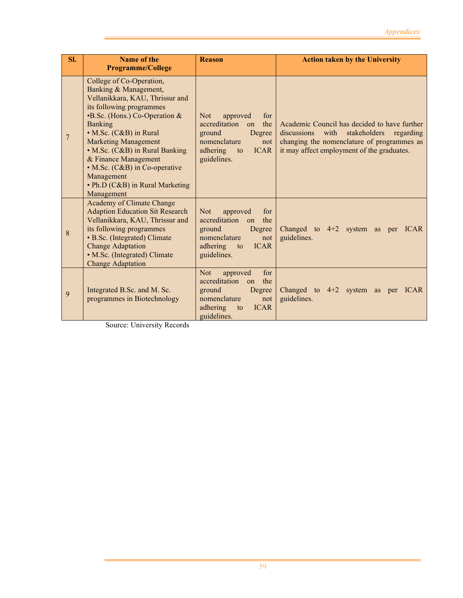| SI.            | <b>Name of the</b><br><b>Programme/College</b>                                                                                                                                                                                                                                                                                                                                               | <b>Reason</b>                                                                                                                                                  | <b>Action taken by the University</b>                                                                                                                                                        |
|----------------|----------------------------------------------------------------------------------------------------------------------------------------------------------------------------------------------------------------------------------------------------------------------------------------------------------------------------------------------------------------------------------------------|----------------------------------------------------------------------------------------------------------------------------------------------------------------|----------------------------------------------------------------------------------------------------------------------------------------------------------------------------------------------|
| $\overline{7}$ | College of Co-Operation,<br>Banking & Management,<br>Vellanikkara, KAU, Thrissur and<br>its following programmes<br><b>B.Sc.</b> (Hons.) Co-Operation &<br><b>Banking</b><br>• M.Sc. (C&B) in Rural<br><b>Marketing Management</b><br>• M.Sc. (C&B) in Rural Banking<br>& Finance Management<br>• M.Sc. (C&B) in Co-operative<br>Management<br>• Ph.D (C&B) in Rural Marketing<br>Management | approved<br>Not<br>for<br>accreditation<br>the<br>$\alpha$<br>ground<br>Degree<br>nomenclature<br>not<br>adhering to<br><b>ICAR</b><br>guidelines.             | Academic Council has decided to have further<br>discussions<br>stakeholders<br>with<br>regarding<br>changing the nomenclature of programmes as<br>it may affect employment of the graduates. |
| 8              | Academy of Climate Change<br><b>Adaption Education Sit Research</b><br>Vellanikkara, KAU, Thrissur and<br>its following programmes<br>• B.Sc. (Integrated) Climate<br><b>Change Adaptation</b><br>• M.Sc. (Integrated) Climate<br><b>Change Adaptation</b>                                                                                                                                   | <b>Not</b><br>approved<br>for<br>accreditation on<br>the<br>Degree<br>ground<br>nomenclature<br>not<br><b>ICAR</b><br>adhering<br>$\mathbf{to}$<br>guidelines. | Changed to $4+2$ system as per ICAR<br>guidelines.                                                                                                                                           |
| 9              | Integrated B.Sc. and M. Sc.<br>programmes in Biotechnology                                                                                                                                                                                                                                                                                                                                   | Not<br>for<br>approved<br>accreditation on<br>the<br>ground<br>Degree<br>nomenclature<br>not<br><b>ICAR</b><br>adhering<br>to<br>guidelines.                   | Changed to $4+2$ system as per ICAR<br>guidelines.                                                                                                                                           |

Source: University Records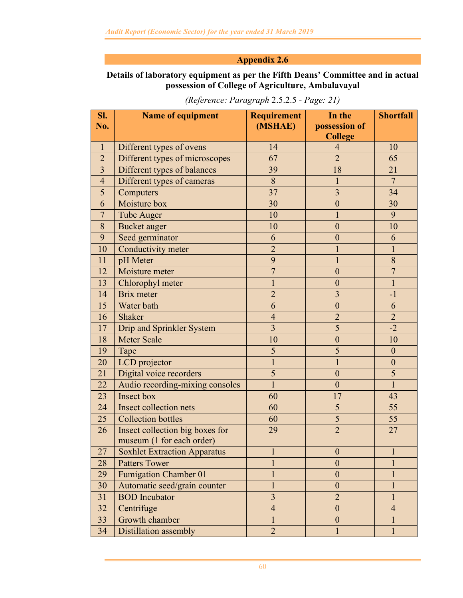### **Details of laboratory equipment as per the Fifth Deans' Committee and in actual possession of College of Agriculture, Ambalavayal**

| SI.            | <b>Name of equipment</b>            | <b>Requirement</b>      | In the                  | <b>Shortfall</b> |
|----------------|-------------------------------------|-------------------------|-------------------------|------------------|
| No.            |                                     | (MSHAE)                 | possession of           |                  |
|                |                                     |                         | <b>College</b>          |                  |
| $\mathbf{1}$   | Different types of ovens            | 14                      | $\overline{4}$          | 10               |
| $\overline{2}$ | Different types of microscopes      | 67                      | $\overline{2}$          | 65               |
| 3              | Different types of balances         | 39                      | 18                      | 21               |
| $\overline{4}$ | Different types of cameras          | 8                       | $\mathbf{1}$            | $\overline{7}$   |
| 5              | Computers                           | 37                      | $\overline{3}$          | 34               |
| 6              | Moisture box                        | 30                      | $\boldsymbol{0}$        | 30               |
| $\overline{7}$ | <b>Tube Auger</b>                   | 10                      | 1                       | 9                |
| 8              | <b>Bucket</b> auger                 | 10                      | $\boldsymbol{0}$        | 10               |
| 9              | Seed germinator                     | 6                       | $\boldsymbol{0}$        | 6                |
| 10             | Conductivity meter                  | $\overline{2}$          | $\mathbf{1}$            | $\mathbf{1}$     |
| 11             | pH Meter                            | 9                       | $\mathbf{1}$            | 8                |
| 12             | Moisture meter                      | $\overline{7}$          | $\boldsymbol{0}$        | $\overline{7}$   |
| 13             | Chlorophyl meter                    | 1                       | $\boldsymbol{0}$        | $\mathbf{1}$     |
| 14             | Brix meter                          | $\overline{2}$          | $\overline{3}$          | $-1$             |
| 15             | Water bath                          | 6                       | $\boldsymbol{0}$        | 6                |
| 16             | Shaker                              | $\overline{4}$          | $\overline{2}$          | $\overline{2}$   |
| 17             | <b>Drip and Sprinkler System</b>    | $\overline{\mathbf{3}}$ | 5                       | $-2$             |
| 18             | <b>Meter Scale</b>                  | 10                      | $\boldsymbol{0}$        | 10               |
| 19             | Tape                                | 5                       | 5                       | $\mathbf{0}$     |
| 20             | LCD projector                       |                         | $\mathbf{1}$            | $\boldsymbol{0}$ |
| 21             | Digital voice recorders             | 5                       | $\boldsymbol{0}$        | 5                |
| 22             | Audio recording-mixing consoles     | $\mathbf{1}$            | $\mathbf{0}$            | $\overline{1}$   |
| 23             | <b>Insect box</b>                   | 60                      | 17                      | 43               |
| 24             | Insect collection nets              | 60                      | 5                       | 55               |
| 25             | <b>Collection bottles</b>           | 60                      | $\overline{\mathbf{5}}$ | 55               |
| 26             | Insect collection big boxes for     | 29                      | $\overline{2}$          | 27               |
|                | museum (1 for each order)           |                         |                         |                  |
| 27             | <b>Soxhlet Extraction Apparatus</b> |                         | $\boldsymbol{0}$        |                  |
| 28             | <b>Patters Tower</b>                |                         | $\boldsymbol{0}$        |                  |
| 29             | <b>Fumigation Chamber 01</b>        |                         | $\mathbf{0}$            |                  |
| 30             | Automatic seed/grain counter        | 1                       | $\boldsymbol{0}$        | $\mathbf{1}$     |
| 31             | <b>BOD</b> Incubator                | 3                       | $\overline{2}$          |                  |
| 32             | Centrifuge                          | $\overline{\mathbf{4}}$ | $\boldsymbol{0}$        | $\overline{4}$   |
| 33             | Growth chamber                      |                         | $\mathbf{0}$            |                  |
| 34             | Distillation assembly               | $\overline{2}$          | $\mathbf{1}$            | $\mathbf{1}$     |

*(Reference: Paragraph* 2.5.2.5 *- Page: 21)*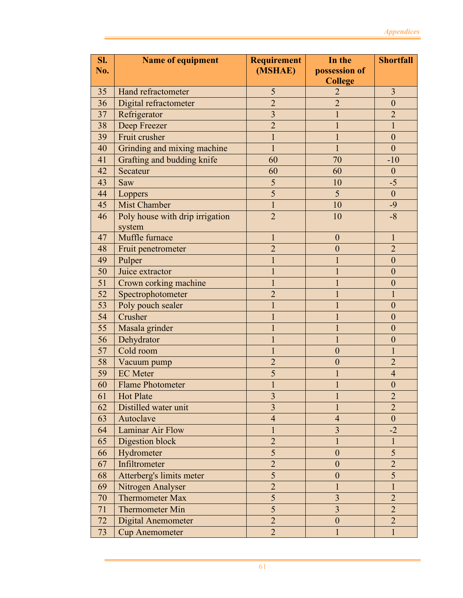| Sl. | Name of equipment               | <b>Requirement</b>      | In the                          | <b>Shortfall</b> |
|-----|---------------------------------|-------------------------|---------------------------------|------------------|
| No. |                                 | (MSHAE)                 | possession of<br><b>College</b> |                  |
| 35  | Hand refractometer              | 5                       | $\overline{2}$                  | $\overline{3}$   |
| 36  | Digital refractometer           | $\overline{2}$          | $\overline{2}$                  | $\mathbf{0}$     |
| 37  | Refrigerator                    | $\overline{3}$          |                                 | $\overline{2}$   |
| 38  | Deep Freezer                    | $\overline{2}$          | $\mathbf{1}$                    | $\mathbf{1}$     |
| 39  | Fruit crusher                   |                         |                                 | $\mathbf{0}$     |
| 40  | Grinding and mixing machine     | $\mathbf{1}$            | $\mathbf{1}$                    | $\overline{0}$   |
| 41  | Grafting and budding knife      | 60                      | 70                              | $-10$            |
| 42  | Secateur                        | 60                      | 60                              | $\boldsymbol{0}$ |
| 43  | Saw                             | 5                       | 10                              | $-5$             |
| 44  | Loppers                         | 5                       | 5                               | $\mathbf{0}$     |
| 45  | <b>Mist Chamber</b>             |                         | 10                              | $-9$             |
| 46  | Poly house with drip irrigation | $\overline{2}$          | 10                              | $-8$             |
|     | system                          |                         |                                 |                  |
| 47  | Muffle furnace                  | $\mathbf{1}$            | $\boldsymbol{0}$                | $\mathbf{1}$     |
| 48  | Fruit penetrometer              | $\overline{2}$          | $\overline{0}$                  | $\overline{2}$   |
| 49  | Pulper                          | $\mathbf{1}$            | 1                               | $\overline{0}$   |
| 50  | Juice extractor                 | 1                       | 1                               | $\theta$         |
| 51  | Crown corking machine           | $\mathbf{1}$            | 1                               | $\overline{0}$   |
| 52  | Spectrophotometer               | $\overline{2}$          | 1                               | 1                |
| 53  | Poly pouch sealer               | $\mathbf{1}$            | 1                               | $\overline{0}$   |
| 54  | Crusher                         | 1                       | 1                               | $\theta$         |
| 55  | Masala grinder                  | 1                       | 1                               | $\overline{0}$   |
| 56  | Dehydrator                      |                         | 1                               | $\theta$         |
| 57  | Cold room                       | 1                       | $\boldsymbol{0}$                | $\mathbf{1}$     |
| 58  | Vacuum pump                     | $\overline{2}$          | $\boldsymbol{0}$                | $\overline{2}$   |
| 59  | <b>EC</b> Meter                 | 5                       |                                 | $\overline{4}$   |
| 60  | <b>Flame Photometer</b>         |                         |                                 | $\overline{0}$   |
| 61  | <b>Hot Plate</b>                | $\overline{\mathbf{3}}$ |                                 | $\overline{2}$   |
| 62  | Distilled water unit            | $\overline{3}$          |                                 | $\overline{2}$   |
| 63  | Autoclave                       | $\overline{4}$          | $\overline{4}$                  | $\boldsymbol{0}$ |
| 64  | Laminar Air Flow                | 1                       | $\overline{\mathbf{3}}$         | $-2$             |
| 65  | Digestion block                 | $\overline{2}$          | $\mathbf{1}$                    | $\mathbf{1}$     |
| 66  | Hydrometer                      | 5                       | $\boldsymbol{0}$                | 5                |
| 67  | Infiltrometer                   | $\overline{2}$          | $\boldsymbol{0}$                | $\overline{2}$   |
| 68  | Atterberg's limits meter        | 5                       | $\boldsymbol{0}$                | 5                |
| 69  | Nitrogen Analyser               | $\overline{2}$          | 1                               | $\mathbf{1}$     |
| 70  | <b>Thermometer Max</b>          | 5                       | $\overline{3}$                  | $\overline{2}$   |
| 71  | <b>Thermometer Min</b>          | 5                       | $\overline{3}$                  | $\overline{2}$   |
| 72  | <b>Digital Anemometer</b>       | $\overline{2}$          | $\boldsymbol{0}$                | $\overline{2}$   |
| 73  | <b>Cup Anemometer</b>           | $\overline{2}$          | $\mathbf{1}$                    | $\mathbf{1}$     |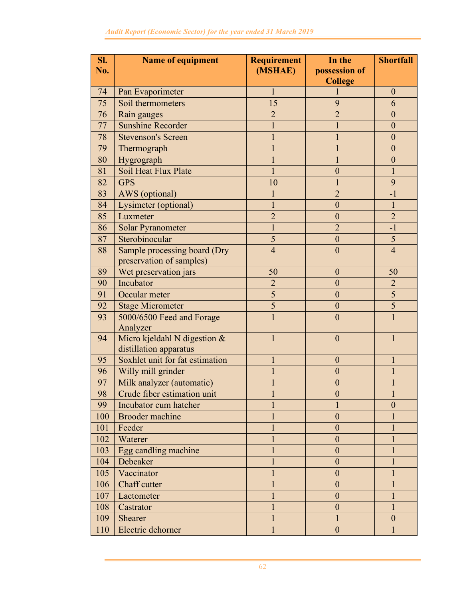| Sl. | <b>Name of equipment</b>        | <b>Requirement</b> | In the                          | <b>Shortfall</b> |
|-----|---------------------------------|--------------------|---------------------------------|------------------|
| No. |                                 | (MSHAE)            | possession of<br><b>College</b> |                  |
| 74  | Pan Evaporimeter                | $\mathbf{1}$       |                                 | $\mathbf{0}$     |
| 75  | Soil thermometers               | 15                 | 9                               | 6                |
| 76  | Rain gauges                     | $\overline{2}$     | $\overline{2}$                  | $\mathbf{0}$     |
| 77  | <b>Sunshine Recorder</b>        | $\mathbf{1}$       | $\mathbf{1}$                    | $\mathbf{0}$     |
| 78  | <b>Stevenson's Screen</b>       | $\mathbf{1}$       | $\mathbf{1}$                    | $\overline{0}$   |
| 79  | Thermograph                     | $\mathbf{1}$       | $\mathbf{1}$                    | $\mathbf{0}$     |
| 80  | Hygrograph                      |                    | $\mathbf{1}$                    | $\mathbf{0}$     |
| 81  | Soil Heat Flux Plate            | $\mathbf{1}$       | $\boldsymbol{0}$                | $\mathbf{1}$     |
| 82  | <b>GPS</b>                      | 10                 | $\mathbf{1}$                    | 9                |
| 83  | AWS (optional)                  | $\mathbf{1}$       | $\overline{2}$                  | $-1$             |
| 84  | Lysimeter (optional)            | $\mathbf{1}$       | $\overline{0}$                  | $\mathbf{1}$     |
| 85  | Luxmeter                        | $\overline{2}$     | $\boldsymbol{0}$                | $\overline{2}$   |
| 86  | <b>Solar Pyranometer</b>        | $\mathbf{1}$       | $\overline{2}$                  | $-1$             |
| 87  | Sterobinocular                  | 5                  | $\boldsymbol{0}$                | 5                |
| 88  | Sample processing board (Dry    | $\overline{4}$     | $\overline{0}$                  | $\overline{4}$   |
|     | preservation of samples)        |                    |                                 |                  |
| 89  | Wet preservation jars           | 50                 | $\mathbf{0}$                    | 50               |
| 90  | Incubator                       | $\overline{2}$     | $\overline{0}$                  | $\overline{2}$   |
| 91  | Occular meter                   | 5                  | $\mathbf{0}$                    | 5                |
| 92  | <b>Stage Micrometer</b>         | 5                  | $\mathbf{0}$                    | 5                |
| 93  | 5000/6500 Feed and Forage       | 1                  | $\overline{0}$                  | 1                |
|     | Analyzer                        |                    |                                 |                  |
| 94  | Micro kjeldahl N digestion &    | $\mathbf{1}$       | $\overline{0}$                  | 1                |
|     | distillation apparatus          |                    |                                 |                  |
| 95  | Soxhlet unit for fat estimation | 1                  | $\mathbf{0}$                    | 1                |
| 96  | Willy mill grinder              | 1                  | $\boldsymbol{0}$                | 1                |
| 97  | Milk analyzer (automatic)       |                    | $\boldsymbol{0}$                | 1                |
| 98  | Crude fiber estimation unit     |                    | 0                               |                  |
| 99  | Incubator cum hatcher           |                    |                                 | $\overline{0}$   |
| 100 | Brooder machine                 |                    | $\mathbf{0}$                    |                  |
| 101 | Feeder                          |                    | $\boldsymbol{0}$                |                  |
| 102 | Waterer                         |                    | $\boldsymbol{0}$                |                  |
| 103 | Egg candling machine            |                    | $\mathbf{0}$                    |                  |
| 104 | Debeaker                        |                    | $\boldsymbol{0}$                |                  |
| 105 | Vaccinator                      |                    | $\boldsymbol{0}$                |                  |
| 106 | Chaff cutter                    |                    | $\boldsymbol{0}$                |                  |
| 107 | Lactometer                      |                    | $\mathbf{0}$                    |                  |
| 108 | Castrator                       |                    | $\boldsymbol{0}$                | 1                |
| 109 | Shearer                         |                    | 1                               | $\mathbf{0}$     |
| 110 | Electric dehorner               | 1                  | $\boldsymbol{0}$                |                  |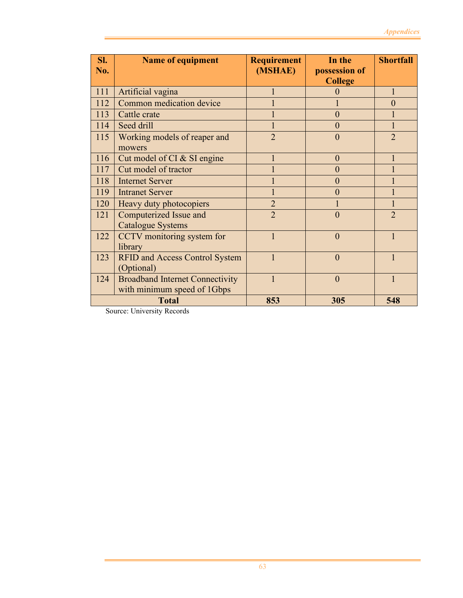| SI.<br>No. | <b>Name of equipment</b>                            | <b>Requirement</b><br>(MSHAE) | In the<br>possession of<br><b>College</b> | <b>Shortfall</b> |
|------------|-----------------------------------------------------|-------------------------------|-------------------------------------------|------------------|
| 111        | Artificial vagina                                   |                               | 0                                         |                  |
| 112        | Common medication device                            |                               |                                           | $\Omega$         |
| 113        | Cattle crate                                        |                               | $\overline{0}$                            |                  |
| 114        | Seed drill                                          |                               | $\overline{0}$                            |                  |
| 115        | Working models of reaper and<br>mowers              | $\overline{2}$                | $\theta$                                  | $\overline{2}$   |
| 116        | Cut model of CI & SI engine                         |                               | $\overline{0}$                            |                  |
| 117        | Cut model of tractor                                |                               | $\overline{0}$                            |                  |
| 118        | <b>Internet Server</b>                              |                               | $\overline{0}$                            |                  |
| 119        | <b>Intranet Server</b>                              |                               | $\theta$                                  |                  |
| 120        | Heavy duty photocopiers                             | $\overline{2}$                |                                           |                  |
| 121        | Computerized Issue and                              | $\overline{2}$                | $\overline{0}$                            | $\overline{2}$   |
|            | <b>Catalogue Systems</b>                            |                               |                                           |                  |
| 122        | CCTV monitoring system for                          |                               | $\overline{0}$                            |                  |
|            | library                                             |                               |                                           |                  |
| 123        | <b>RFID and Access Control System</b><br>(Optional) | 1                             | $\theta$                                  |                  |
| 124        | <b>Broadband Internet Connectivity</b>              | $\mathbf{1}$                  | $\theta$                                  |                  |
|            | with minimum speed of 1Gbps                         |                               |                                           |                  |
|            | <b>Total</b>                                        | 853                           | 305                                       | 548              |

Source: University Records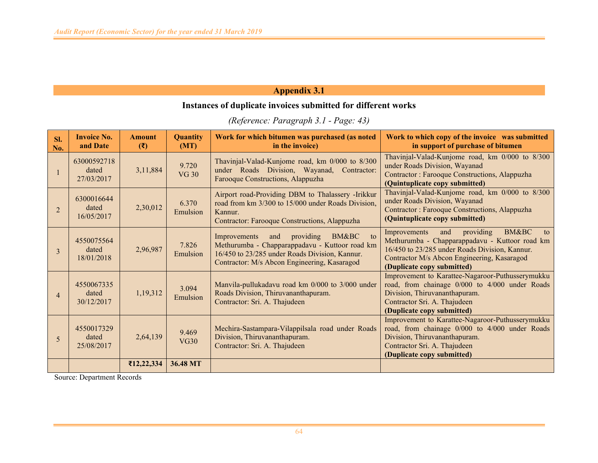## **Instances of duplicate invoices submitted for different works**

*(Reference: Paragraph 3.1 - Page: 43)* 

| SI.<br>No.     | <b>Invoice No.</b><br>and Date     | <b>Amount</b><br>(3) | Quantity<br>(MT)      | Work for which bitumen was purchased (as noted<br>in the invoice)                                                                                                                                               | Work to which copy of the invoice was submitted<br>in support of purchase of bitumen                                                                                                                                                        |
|----------------|------------------------------------|----------------------|-----------------------|-----------------------------------------------------------------------------------------------------------------------------------------------------------------------------------------------------------------|---------------------------------------------------------------------------------------------------------------------------------------------------------------------------------------------------------------------------------------------|
|                | 63000592718<br>dated<br>27/03/2017 | 3,11,884             | 9.720<br><b>VG 30</b> | Thavinjal-Valad-Kunjome road, km 0/000 to 8/300<br>under Roads Division, Wayanad, Contractor:<br>Farooque Constructions, Alappuzha                                                                              | Thavinjal-Valad-Kunjome road, km 0/000 to 8/300<br>under Roads Division, Wayanad<br>Contractor: Farooque Constructions, Alappuzha<br>(Quintuplicate copy submitted)                                                                         |
| 2              | 6300016644<br>dated<br>16/05/2017  | 2,30,012             | 6.370<br>Emulsion     | Airport road-Providing DBM to Thalassery -Irikkur<br>road from km 3/300 to 15/000 under Roads Division,<br>Kannur.<br>Contractor: Farooque Constructions, Alappuzha                                             | Thavinjal-Valad-Kunjome road, km 0/000 to 8/300<br>under Roads Division, Wayanad<br>Contractor: Farooque Constructions, Alappuzha<br>(Quintuplicate copy submitted)                                                                         |
| 3              | 4550075564<br>dated<br>18/01/2018  | 2,96,987             | 7.826<br>Emulsion     | providing<br>BM&BC<br>$\overline{t}$<br>Improvements<br>and<br>Methurumba - Chapparappadavu - Kuttoor road km<br>16/450 to 23/285 under Roads Division, Kannur.<br>Contractor: M/s Abcon Engineering, Kasaragod | <b>BM&amp;BC</b><br>providing<br>Improvements<br>and<br>to<br>Methurumba - Chapparappadavu - Kuttoor road km<br>16/450 to 23/285 under Roads Division, Kannur.<br>Contractor M/s Abcon Engineering, Kasaragod<br>(Duplicate copy submitted) |
| $\overline{4}$ | 4550067335<br>dated<br>30/12/2017  | 1,19,312             | 3.094<br>Emulsion     | Manvila-pullukadavu road km 0/000 to 3/000 under<br>Roads Division, Thiruvananthapuram.<br>Contractor: Sri. A. Thajudeen                                                                                        | Improvement to Karattee-Nagaroor-Puthusserymukku<br>road, from chainage 0/000 to 4/000 under Roads<br>Division, Thiruvananthapuram.<br>Contractor Sri. A. Thajudeen<br>(Duplicate copy submitted)                                           |
| 5              | 4550017329<br>dated<br>25/08/2017  | 2,64,139             | 9.469<br><b>VG30</b>  | Mechira-Sastampara-Vilappilsala road under Roads<br>Division, Thiruvananthapuram.<br>Contractor: Sri. A. Thajudeen                                                                                              | Improvement to Karattee-Nagaroor-Puthusserymukku<br>road, from chainage 0/000 to 4/000 under Roads<br>Division, Thiruvananthapuram.<br>Contractor Sri. A. Thajudeen<br>(Duplicate copy submitted)                                           |
|                |                                    | ₹12,22,334           | 36.48 MT              |                                                                                                                                                                                                                 |                                                                                                                                                                                                                                             |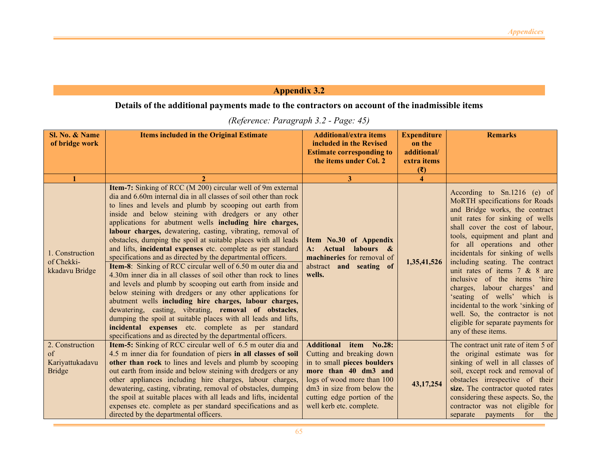## **Details of the additional payments made to the contractors on account of the inadmissible items**

| Sl. No. & Name<br>of bridge work                          | <b>Items included in the Original Estimate</b>                                                                                                                                                                                                                                                                                                                                                                                                                                                                                                                                                                                                                                                                                                                                                                                                                                                                                                                                                                                                                                                                                                                  | <b>Additional/extra items</b><br>included in the Revised<br><b>Estimate corresponding to</b><br>the items under Col. 2                                                                                                            | <b>Expenditure</b><br>on the<br>additional/<br>extra items<br>$(\overline{\mathbf{x}})$ | <b>Remarks</b>                                                                                                                                                                                                                                                                                                                                                                                                                                                                                                                                                                         |
|-----------------------------------------------------------|-----------------------------------------------------------------------------------------------------------------------------------------------------------------------------------------------------------------------------------------------------------------------------------------------------------------------------------------------------------------------------------------------------------------------------------------------------------------------------------------------------------------------------------------------------------------------------------------------------------------------------------------------------------------------------------------------------------------------------------------------------------------------------------------------------------------------------------------------------------------------------------------------------------------------------------------------------------------------------------------------------------------------------------------------------------------------------------------------------------------------------------------------------------------|-----------------------------------------------------------------------------------------------------------------------------------------------------------------------------------------------------------------------------------|-----------------------------------------------------------------------------------------|----------------------------------------------------------------------------------------------------------------------------------------------------------------------------------------------------------------------------------------------------------------------------------------------------------------------------------------------------------------------------------------------------------------------------------------------------------------------------------------------------------------------------------------------------------------------------------------|
|                                                           |                                                                                                                                                                                                                                                                                                                                                                                                                                                                                                                                                                                                                                                                                                                                                                                                                                                                                                                                                                                                                                                                                                                                                                 | 3                                                                                                                                                                                                                                 | $\boldsymbol{\Delta}$                                                                   |                                                                                                                                                                                                                                                                                                                                                                                                                                                                                                                                                                                        |
| 1. Construction<br>of Chekki-<br>kkadavu Bridge           | Item-7: Sinking of RCC (M 200) circular well of 9m external<br>dia and 6.60m internal dia in all classes of soil other than rock<br>to lines and levels and plumb by scooping out earth from<br>inside and below steining with dredgers or any other<br>applications for abutment wells including hire charges,<br>labour charges, dewatering, casting, vibrating, removal of<br>obstacles, dumping the spoil at suitable places with all leads<br>and lifts, incidental expenses etc. complete as per standard<br>specifications and as directed by the departmental officers.<br><b>Item-8:</b> Sinking of RCC circular well of 6.50 m outer dia and<br>4.30m inner dia in all classes of soil other than rock to lines<br>and levels and plumb by scooping out earth from inside and<br>below steining with dredgers or any other applications for<br>abutment wells including hire charges, labour charges,<br>dewatering, casting, vibrating, removal of obstacles,<br>dumping the spoil at suitable places with all leads and lifts,<br>incidental expenses etc. complete as per standard<br>specifications and as directed by the departmental officers. | Item No.30 of Appendix<br>labours &<br>A: Actual<br>machineries for removal of<br>abstract and seating of<br>wells.                                                                                                               | 1,35,41,526                                                                             | According to $Sn.1216$ (e) of<br>MoRTH specifications for Roads<br>and Bridge works, the contract<br>unit rates for sinking of wells<br>shall cover the cost of labour,<br>tools, equipment and plant and<br>for all operations and other<br>incidentals for sinking of wells<br>including seating. The contract<br>unit rates of items 7 & 8 are<br>inclusive of the items 'hire<br>charges, labour charges' and<br>'seating of wells' which is<br>incidental to the work 'sinking of<br>well. So, the contractor is not<br>eligible for separate payments for<br>any of these items. |
| 2. Construction<br>of<br>Kariyattukadavu<br><b>Bridge</b> | Item-5: Sinking of RCC circular well of 6.5 m outer dia and<br>4.5 m inner dia for foundation of piers in all classes of soil<br>other than rock to lines and levels and plumb by scooping<br>out earth from inside and below steining with dredgers or any<br>other appliances including hire charges, labour charges,<br>dewatering, casting, vibrating, removal of obstacles, dumping<br>the spoil at suitable places with all leads and lifts, incidental<br>expenses etc. complete as per standard specifications and as<br>directed by the departmental officers.                                                                                                                                                                                                                                                                                                                                                                                                                                                                                                                                                                                         | Additional item No.28:<br>Cutting and breaking down<br>in to small pieces boulders<br>more than 40 dm3 and<br>logs of wood more than 100<br>dm3 in size from below the<br>cutting edge portion of the<br>well kerb etc. complete. | 43, 17, 254                                                                             | The contract unit rate of item 5 of<br>the original estimate was for<br>sinking of well in all classes of<br>soil, except rock and removal of<br>obstacles irrespective of their<br>size. The contractor quoted rates<br>considering these aspects. So, the<br>contractor was not eligible for<br>for<br>separate<br>payments<br>the                                                                                                                                                                                                                                                   |

### *(Reference: Paragraph 3.2 - Page: 45)*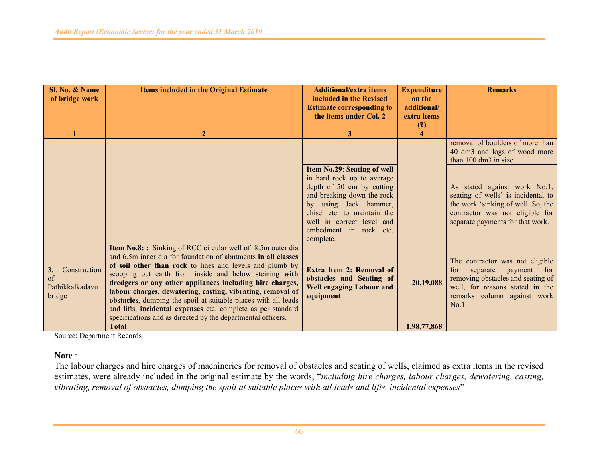| Sl. No. & Name<br>of bridge work                      | <b>Items included in the Original Estimate</b>                                                                                                                                                                                                                                                                                                                                                                                                                                                                                                                                | <b>Additional/extra items</b><br>included in the Revised<br><b>Estimate corresponding to</b><br>the items under Col. 2                                                                                                                           | <b>Expenditure</b><br>on the<br>additional/<br>extra items<br>(3) | <b>Remarks</b>                                                                                                                                                                      |
|-------------------------------------------------------|-------------------------------------------------------------------------------------------------------------------------------------------------------------------------------------------------------------------------------------------------------------------------------------------------------------------------------------------------------------------------------------------------------------------------------------------------------------------------------------------------------------------------------------------------------------------------------|--------------------------------------------------------------------------------------------------------------------------------------------------------------------------------------------------------------------------------------------------|-------------------------------------------------------------------|-------------------------------------------------------------------------------------------------------------------------------------------------------------------------------------|
|                                                       | $\overline{2}$                                                                                                                                                                                                                                                                                                                                                                                                                                                                                                                                                                | 3                                                                                                                                                                                                                                                | 4                                                                 |                                                                                                                                                                                     |
|                                                       |                                                                                                                                                                                                                                                                                                                                                                                                                                                                                                                                                                               |                                                                                                                                                                                                                                                  |                                                                   | removal of boulders of more than<br>40 dm3 and logs of wood more<br>than 100 dm3 in size.                                                                                           |
|                                                       |                                                                                                                                                                                                                                                                                                                                                                                                                                                                                                                                                                               | Item No.29: Seating of well<br>in hard rock up to average<br>depth of 50 cm by cutting<br>and breaking down the rock<br>by using Jack hammer,<br>chisel etc. to maintain the<br>well in correct level and<br>embedment in rock etc.<br>complete. |                                                                   | As stated against work No.1,<br>seating of wells' is incidental to<br>the work 'sinking of well. So, the<br>contractor was not eligible for<br>separate payments for that work.     |
| Construction<br>3.<br>of<br>Pathikkalkadavu<br>bridge | Item No.8:: Sinking of RCC circular well of 8.5m outer dia<br>and 6.5m inner dia for foundation of abutments in all classes<br>of soil other than rock to lines and levels and plumb by<br>scooping out earth from inside and below steining with<br>dredgers or any other appliances including hire charges,<br>labour charges, dewatering, casting, vibrating, removal of<br>obstacles, dumping the spoil at suitable places with all leads<br>and lifts, incidental expenses etc. complete as per standard<br>specifications and as directed by the departmental officers. | Extra Item 2: Removal of<br>obstacles and Seating of<br><b>Well engaging Labour and</b><br>equipment                                                                                                                                             | 20,19,088                                                         | The contractor was not eligible<br>for<br>separate<br>payment<br>for<br>removing obstacles and seating of<br>well, for reasons stated in the<br>remarks column against work<br>No.1 |
|                                                       | <b>Total</b>                                                                                                                                                                                                                                                                                                                                                                                                                                                                                                                                                                  |                                                                                                                                                                                                                                                  | 1,98,77,868                                                       |                                                                                                                                                                                     |

Source: Department Records

**Note** :

 The labour charges and hire charges of machineries for removal of obstacles and seating of wells, claimed as extra items in the revised estimates, were already included in the original estimate by the words, "*including hire charges, labour charges, dewatering, casting, vibrating, removal of obstacles, dumping the spoil at suitable places with all leads and lifts, incidental expenses*"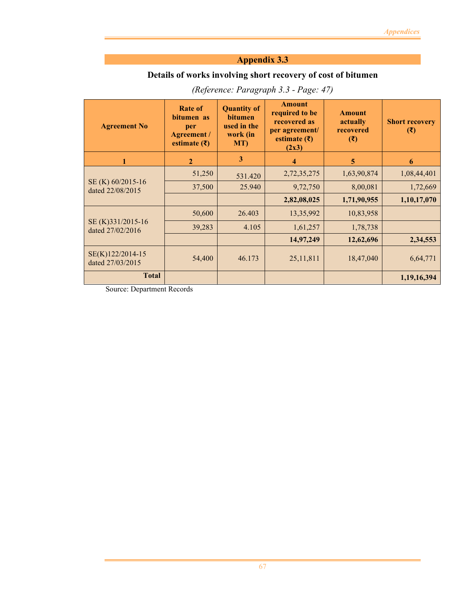## **Details of works involving short recovery of cost of bitumen**

| <b>Agreement No</b>                   | Rate of<br>bitumen as<br>per<br>Agreement /<br>estimate $(\bar{\zeta})$ | <b>Quantity of</b><br><b>bitumen</b><br>used in the<br>work (in<br>MT) | <b>Amount</b><br>required to be<br>recovered as<br>per agreement/<br>estimate $(\bar{\tau})$<br>(2x3) | <b>Amount</b><br>actually<br>recovered<br>$(\overline{\mathbf{z}})$ | <b>Short recovery</b><br>$(\overline{\mathbf{x}})$ |
|---------------------------------------|-------------------------------------------------------------------------|------------------------------------------------------------------------|-------------------------------------------------------------------------------------------------------|---------------------------------------------------------------------|----------------------------------------------------|
| 1                                     | $\overline{2}$                                                          | 3                                                                      | 4                                                                                                     | 5                                                                   | 6                                                  |
|                                       | 51,250                                                                  | 531.420                                                                | 2,72,35,275                                                                                           | 1,63,90,874                                                         | 1,08,44,401                                        |
| SE (K) 60/2015-16<br>dated 22/08/2015 | 37,500                                                                  | 25.940                                                                 | 9,72,750                                                                                              | 8,00,081                                                            | 1,72,669                                           |
|                                       |                                                                         |                                                                        | 2,82,08,025                                                                                           | 1,71,90,955                                                         | 1,10,17,070                                        |
|                                       | 50,600                                                                  | 26.403                                                                 | 13,35,992                                                                                             | 10,83,958                                                           |                                                    |
| SE (K)331/2015-16<br>dated 27/02/2016 | 39,283                                                                  | 4.105                                                                  | 1,61,257                                                                                              | 1,78,738                                                            |                                                    |
|                                       |                                                                         |                                                                        | 14,97,249                                                                                             | 12,62,696                                                           | 2,34,553                                           |
| SE(K)122/2014-15<br>dated 27/03/2015  | 54,400                                                                  | 46.173                                                                 | 25, 11, 811                                                                                           | 18,47,040                                                           | 6,64,771                                           |
| <b>Total</b>                          |                                                                         |                                                                        |                                                                                                       |                                                                     | 1,19,16,394                                        |

*(Reference: Paragraph 3.3 - Page: 47)*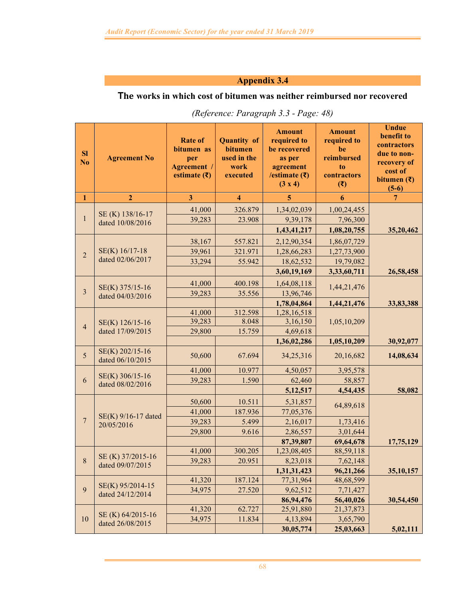## **The works in which cost of bitumen was neither reimbursed nor recovered**

| <b>Sl</b><br>N <sub>o</sub> | <b>Agreement No</b>                                   | <b>Rate of</b><br>bitumen as<br>per<br>Agreement /<br>estimate $(\bar{\mathbf{\mathsf{z}}})$ | <b>Quantity of</b><br>bitumen<br>used in the<br>work<br>executed | <b>Amount</b><br>required to<br>be recovered<br>as per<br>agreement<br>/estimate $( ₹)$<br>(3 x 4) | <b>Amount</b><br>required to<br>be<br>reimbursed<br>to<br>contractors<br>(3) | <b>Undue</b><br>benefit to<br>contractors<br>due to non-<br>recovery of<br>cost of<br>bitumen $(\bar{\mathbf{z}})$<br>$(5-6)$ |
|-----------------------------|-------------------------------------------------------|----------------------------------------------------------------------------------------------|------------------------------------------------------------------|----------------------------------------------------------------------------------------------------|------------------------------------------------------------------------------|-------------------------------------------------------------------------------------------------------------------------------|
| $\mathbf{1}$                | $\overline{2}$                                        | $\overline{\mathbf{3}}$                                                                      | $\overline{\mathbf{4}}$                                          | 5                                                                                                  | 6                                                                            | 7                                                                                                                             |
|                             | SE(K) 138/16-17                                       | 41,000                                                                                       | 326.879                                                          | 1,34,02,039                                                                                        | 1,00,24,455                                                                  |                                                                                                                               |
| $\mathbf{1}$                | dated 10/08/2016                                      | 39,283                                                                                       | 23.908                                                           | 9,39,178                                                                                           | 7,96,300                                                                     |                                                                                                                               |
|                             |                                                       |                                                                                              |                                                                  | 1,43,41,217                                                                                        | 1,08,20,755                                                                  | 35,20,462                                                                                                                     |
|                             |                                                       | 38,167                                                                                       | 557.821                                                          | 2,12,90,354                                                                                        | 1,86,07,729                                                                  |                                                                                                                               |
| $\overline{2}$              | SE(K) 16/17-18                                        | 39,961                                                                                       | 321.971                                                          | 1,28,66,283                                                                                        | 1,27,73,900                                                                  |                                                                                                                               |
|                             | dated 02/06/2017                                      | 33,294                                                                                       | 55.942                                                           | 18,62,532                                                                                          | 19,79,082                                                                    |                                                                                                                               |
|                             |                                                       |                                                                                              |                                                                  | 3,60,19,169                                                                                        | 3,33,60,711                                                                  | 26,58,458                                                                                                                     |
|                             |                                                       | 41,000                                                                                       | 400.198                                                          | 1,64,08,118                                                                                        | 1,44,21,476                                                                  |                                                                                                                               |
| $\overline{\mathbf{3}}$     | SE(K) 375/15-16<br>dated 04/03/2016                   | 39,283                                                                                       | 35.556                                                           | 13,96,746                                                                                          |                                                                              |                                                                                                                               |
|                             |                                                       |                                                                                              |                                                                  | 1,78,04,864                                                                                        | 1,44,21,476                                                                  | 33,83,388                                                                                                                     |
|                             |                                                       | 41,000                                                                                       | 312.598                                                          | 1,28,16,518                                                                                        |                                                                              |                                                                                                                               |
|                             | SE(K) 126/15-16<br>$\overline{4}$<br>dated 17/09/2015 | 39,283                                                                                       | 8.048                                                            | 3,16,150                                                                                           | 1,05,10,209                                                                  |                                                                                                                               |
|                             |                                                       | 29,800                                                                                       | 15.759                                                           | 4,69,618                                                                                           |                                                                              |                                                                                                                               |
|                             |                                                       |                                                                                              |                                                                  | 1,36,02,286                                                                                        | 1,05,10,209                                                                  | 30,92,077                                                                                                                     |
| 5                           | SE(K) 202/15-16<br>dated 06/10/2015                   | 50,600                                                                                       | 67.694                                                           | 34,25,316                                                                                          | 20,16,682                                                                    | 14,08,634                                                                                                                     |
|                             |                                                       | 41,000                                                                                       | 10.977                                                           | 4,50,057                                                                                           | 3,95,578                                                                     |                                                                                                                               |
| 6                           | SE(K) 306/15-16<br>dated 08/02/2016                   | 39,283                                                                                       | 1.590                                                            | 62,460                                                                                             | 58,857                                                                       |                                                                                                                               |
|                             |                                                       |                                                                                              |                                                                  | 5,12,517                                                                                           | 4,54,435                                                                     | 58,082                                                                                                                        |
|                             |                                                       | 50,600                                                                                       | 10.511                                                           | 5,31,857                                                                                           | 64,89,618                                                                    |                                                                                                                               |
|                             |                                                       | 41,000                                                                                       | 187.936                                                          | 77,05,376                                                                                          |                                                                              |                                                                                                                               |
| $\overline{7}$              | SE(K) 9/16-17 dated<br>20/05/2016                     | 39,283                                                                                       | 5.499                                                            | 2,16,017                                                                                           | 1,73,416                                                                     |                                                                                                                               |
|                             |                                                       | 29,800                                                                                       | 9.616                                                            | 2,86,557                                                                                           | 3,01,644                                                                     |                                                                                                                               |
|                             |                                                       |                                                                                              |                                                                  | 87,39,807                                                                                          | 69,64,678                                                                    | 17,75,129                                                                                                                     |
|                             |                                                       | 41,000                                                                                       | 300.205                                                          | 1,23,08,405                                                                                        | 88,59,118                                                                    |                                                                                                                               |
| $8\,$                       | SE (K) 37/2015-16<br>dated 09/07/2015                 | 39,283                                                                                       | 20.951                                                           | 8,23,018                                                                                           | 7,62,148                                                                     |                                                                                                                               |
|                             |                                                       |                                                                                              |                                                                  | 1,31,31,423                                                                                        | 96,21,266                                                                    | 35,10,157                                                                                                                     |
|                             | SE(K) 95/2014-15                                      | 41,320                                                                                       | 187.124                                                          | 77,31,964                                                                                          | 48,68,599                                                                    |                                                                                                                               |
| 9                           | dated 24/12/2014                                      | 34,975                                                                                       | 27.520                                                           | 9,62,512                                                                                           | 7,71,427                                                                     |                                                                                                                               |
|                             |                                                       |                                                                                              |                                                                  | 86,94,476                                                                                          | 56,40,026                                                                    | 30,54,450                                                                                                                     |
|                             | SE (K) 64/2015-16                                     | 41,320                                                                                       | 62.727                                                           | 25,91,880                                                                                          | 21, 37, 873                                                                  |                                                                                                                               |
| $10\,$                      | dated 26/08/2015                                      | 34,975                                                                                       | 11.834                                                           | 4,13,894                                                                                           | 3,65,790                                                                     |                                                                                                                               |
|                             |                                                       |                                                                                              |                                                                  | 30,05,774                                                                                          | 25,03,663                                                                    | 5,02,111                                                                                                                      |

| (Reference: Paragraph 3.3 - Page: 48) |  |  |
|---------------------------------------|--|--|
|                                       |  |  |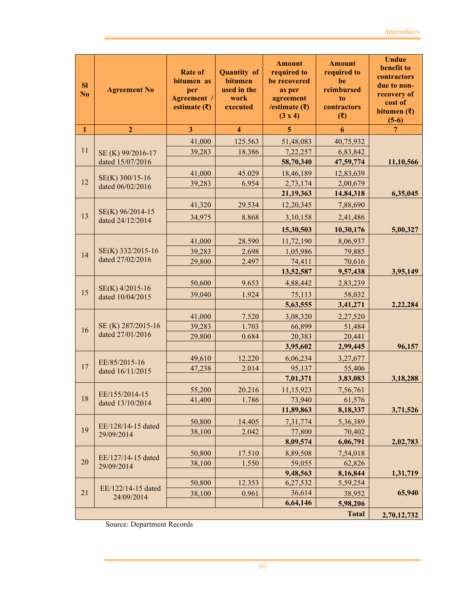| $\mathbf{1}$<br>$\overline{3}$<br>$\overline{\mathbf{4}}$<br>$\overline{2}$<br>6<br>5<br>7<br>41,000<br>125.563<br>51,48,083<br>40,75,932<br>11<br>39,283<br>18.386<br>7,22,257<br>6,83,842<br>SE (K) 99/2016-17<br>dated 15/07/2016<br>58,70,340<br>47,59,774<br>11,10,566<br>45.029<br>18,46,189<br>41,000<br>12,83,639<br>SE(K) 300/15-16<br>12<br>2,73,174<br>39,283<br>6.954<br>2,00,679<br>dated 06/02/2016<br>21,19,363<br>14,84,318<br>6,35,045<br>12,20,345<br>41,320<br>29.534<br>7,88,690<br>SE(K) 96/2014-15<br>13<br>34,975<br>8.868<br>3,10,158<br>2,41,486<br>dated 24/12/2014<br>15,30,503<br>10,30,176<br>5,00,327<br>11,72,190<br>8,06,937<br>41,000<br>28.590<br>SE(K) 332/2015-16<br>39,283<br>1,05,986<br>2.698<br>79,885<br>14<br>dated 27/02/2016<br>70,616<br>29,800<br>74,411<br>2.497<br>3,95,149<br>13,52,587<br>9,57,438<br>50,600<br>9.653<br>4,88,442<br>2,83,239<br>SE(K) 4/2015-16<br>15<br>39,040<br>1.924<br>75,113<br>58,032<br>dated 10/04/2015<br>5,63,555<br>3,41,271<br>2,22,284<br>7.520<br>3,08,320<br>2,27,520<br>41,000<br>SE (K) 287/2015-16<br>1.703<br>39,283<br>66,899<br>51,484<br>16<br>dated 27/01/2016<br>0.684<br>20,383<br>20,441<br>29,800<br>3,95,602<br>2,99,445<br>96,157<br>12.220<br>49,610<br>6,06,234<br>3,27,677<br>EE/85/2015-16<br>17<br>47,238<br>2.014<br>95,137<br>55,406<br>dated 16/11/2015<br>7,01,371<br>3,83,083<br>3,18,288<br>11,15,923<br>7,56,761<br>55,200<br>20.216<br>EE/155/2014-15<br>18<br>1.786<br>73,940<br>41,400<br>61,576<br>dated 13/10/2014<br>3,71,526<br>11,89,863<br>8,18,337<br>14.405<br>7,31,774<br>50,800<br>5,36,389<br>EE/128/14-15 dated<br>19<br>38,100<br>2.042<br>77,800<br>70,402<br>29/09/2014<br>8,09,574<br>2,02,783<br>6,06,791<br>8,89,508<br>50,800<br>17.510<br>7,54,018<br>EE/127/14-15 dated<br>20<br>38,100<br>1.550<br>59,055<br>62,826<br>29/09/2014<br>9,48,563<br>8,16,844<br>1,31,719<br>50,800<br>12.353<br>6,27,532<br>5,59,254<br>EE/122/14-15 dated<br>21<br>65,940<br>36,614<br>38,100<br>0.961<br>38,952<br>24/09/2014<br>6,64,146<br>5,98,206 | <b>Sl</b><br>N <sub>o</sub> | <b>Agreement No</b> | <b>Rate of</b><br>bitumen as<br>per<br>Agreement /<br>estimate $(\bar{\mathbf{\mathsf{z}}})$ | <b>Quantity of</b><br>bitumen<br>used in the<br>work<br>executed | <b>Amount</b><br>required to<br>be recovered<br>as per<br>agreement<br>/estimate $( ₹)$<br>(3 x 4) | <b>Amount</b><br>required to<br>be<br>reimbursed<br>to<br>contractors<br>$(\overline{\mathbf{x}})$ | <b>Undue</b><br>benefit to<br>contractors<br>due to non-<br>recovery of<br>cost of<br>bitumen $(\overline{\mathbf{z}})$<br>$(5-6)$ |
|----------------------------------------------------------------------------------------------------------------------------------------------------------------------------------------------------------------------------------------------------------------------------------------------------------------------------------------------------------------------------------------------------------------------------------------------------------------------------------------------------------------------------------------------------------------------------------------------------------------------------------------------------------------------------------------------------------------------------------------------------------------------------------------------------------------------------------------------------------------------------------------------------------------------------------------------------------------------------------------------------------------------------------------------------------------------------------------------------------------------------------------------------------------------------------------------------------------------------------------------------------------------------------------------------------------------------------------------------------------------------------------------------------------------------------------------------------------------------------------------------------------------------------------------------------------------------------------------------------------------------------------------------------------------------------------------------------------------------------------------------------------------------------------------------------------------------------------------------------------------------------------------------------------------------------------------------------------------------------------------------------------------------------------------------------------------------|-----------------------------|---------------------|----------------------------------------------------------------------------------------------|------------------------------------------------------------------|----------------------------------------------------------------------------------------------------|----------------------------------------------------------------------------------------------------|------------------------------------------------------------------------------------------------------------------------------------|
|                                                                                                                                                                                                                                                                                                                                                                                                                                                                                                                                                                                                                                                                                                                                                                                                                                                                                                                                                                                                                                                                                                                                                                                                                                                                                                                                                                                                                                                                                                                                                                                                                                                                                                                                                                                                                                                                                                                                                                                                                                                                            |                             |                     |                                                                                              |                                                                  |                                                                                                    |                                                                                                    |                                                                                                                                    |
|                                                                                                                                                                                                                                                                                                                                                                                                                                                                                                                                                                                                                                                                                                                                                                                                                                                                                                                                                                                                                                                                                                                                                                                                                                                                                                                                                                                                                                                                                                                                                                                                                                                                                                                                                                                                                                                                                                                                                                                                                                                                            |                             |                     |                                                                                              |                                                                  |                                                                                                    |                                                                                                    |                                                                                                                                    |
|                                                                                                                                                                                                                                                                                                                                                                                                                                                                                                                                                                                                                                                                                                                                                                                                                                                                                                                                                                                                                                                                                                                                                                                                                                                                                                                                                                                                                                                                                                                                                                                                                                                                                                                                                                                                                                                                                                                                                                                                                                                                            |                             |                     |                                                                                              |                                                                  |                                                                                                    |                                                                                                    |                                                                                                                                    |
|                                                                                                                                                                                                                                                                                                                                                                                                                                                                                                                                                                                                                                                                                                                                                                                                                                                                                                                                                                                                                                                                                                                                                                                                                                                                                                                                                                                                                                                                                                                                                                                                                                                                                                                                                                                                                                                                                                                                                                                                                                                                            |                             |                     |                                                                                              |                                                                  |                                                                                                    |                                                                                                    |                                                                                                                                    |
|                                                                                                                                                                                                                                                                                                                                                                                                                                                                                                                                                                                                                                                                                                                                                                                                                                                                                                                                                                                                                                                                                                                                                                                                                                                                                                                                                                                                                                                                                                                                                                                                                                                                                                                                                                                                                                                                                                                                                                                                                                                                            |                             |                     |                                                                                              |                                                                  |                                                                                                    |                                                                                                    |                                                                                                                                    |
|                                                                                                                                                                                                                                                                                                                                                                                                                                                                                                                                                                                                                                                                                                                                                                                                                                                                                                                                                                                                                                                                                                                                                                                                                                                                                                                                                                                                                                                                                                                                                                                                                                                                                                                                                                                                                                                                                                                                                                                                                                                                            |                             |                     |                                                                                              |                                                                  |                                                                                                    |                                                                                                    |                                                                                                                                    |
|                                                                                                                                                                                                                                                                                                                                                                                                                                                                                                                                                                                                                                                                                                                                                                                                                                                                                                                                                                                                                                                                                                                                                                                                                                                                                                                                                                                                                                                                                                                                                                                                                                                                                                                                                                                                                                                                                                                                                                                                                                                                            |                             |                     |                                                                                              |                                                                  |                                                                                                    |                                                                                                    |                                                                                                                                    |
|                                                                                                                                                                                                                                                                                                                                                                                                                                                                                                                                                                                                                                                                                                                                                                                                                                                                                                                                                                                                                                                                                                                                                                                                                                                                                                                                                                                                                                                                                                                                                                                                                                                                                                                                                                                                                                                                                                                                                                                                                                                                            |                             |                     |                                                                                              |                                                                  |                                                                                                    |                                                                                                    |                                                                                                                                    |
|                                                                                                                                                                                                                                                                                                                                                                                                                                                                                                                                                                                                                                                                                                                                                                                                                                                                                                                                                                                                                                                                                                                                                                                                                                                                                                                                                                                                                                                                                                                                                                                                                                                                                                                                                                                                                                                                                                                                                                                                                                                                            |                             |                     |                                                                                              |                                                                  |                                                                                                    |                                                                                                    |                                                                                                                                    |
|                                                                                                                                                                                                                                                                                                                                                                                                                                                                                                                                                                                                                                                                                                                                                                                                                                                                                                                                                                                                                                                                                                                                                                                                                                                                                                                                                                                                                                                                                                                                                                                                                                                                                                                                                                                                                                                                                                                                                                                                                                                                            |                             |                     |                                                                                              |                                                                  |                                                                                                    |                                                                                                    |                                                                                                                                    |
|                                                                                                                                                                                                                                                                                                                                                                                                                                                                                                                                                                                                                                                                                                                                                                                                                                                                                                                                                                                                                                                                                                                                                                                                                                                                                                                                                                                                                                                                                                                                                                                                                                                                                                                                                                                                                                                                                                                                                                                                                                                                            |                             |                     |                                                                                              |                                                                  |                                                                                                    |                                                                                                    |                                                                                                                                    |
|                                                                                                                                                                                                                                                                                                                                                                                                                                                                                                                                                                                                                                                                                                                                                                                                                                                                                                                                                                                                                                                                                                                                                                                                                                                                                                                                                                                                                                                                                                                                                                                                                                                                                                                                                                                                                                                                                                                                                                                                                                                                            |                             |                     |                                                                                              |                                                                  |                                                                                                    |                                                                                                    |                                                                                                                                    |
|                                                                                                                                                                                                                                                                                                                                                                                                                                                                                                                                                                                                                                                                                                                                                                                                                                                                                                                                                                                                                                                                                                                                                                                                                                                                                                                                                                                                                                                                                                                                                                                                                                                                                                                                                                                                                                                                                                                                                                                                                                                                            |                             |                     |                                                                                              |                                                                  |                                                                                                    |                                                                                                    |                                                                                                                                    |
|                                                                                                                                                                                                                                                                                                                                                                                                                                                                                                                                                                                                                                                                                                                                                                                                                                                                                                                                                                                                                                                                                                                                                                                                                                                                                                                                                                                                                                                                                                                                                                                                                                                                                                                                                                                                                                                                                                                                                                                                                                                                            |                             |                     |                                                                                              |                                                                  |                                                                                                    |                                                                                                    |                                                                                                                                    |
|                                                                                                                                                                                                                                                                                                                                                                                                                                                                                                                                                                                                                                                                                                                                                                                                                                                                                                                                                                                                                                                                                                                                                                                                                                                                                                                                                                                                                                                                                                                                                                                                                                                                                                                                                                                                                                                                                                                                                                                                                                                                            |                             |                     |                                                                                              |                                                                  |                                                                                                    |                                                                                                    |                                                                                                                                    |
|                                                                                                                                                                                                                                                                                                                                                                                                                                                                                                                                                                                                                                                                                                                                                                                                                                                                                                                                                                                                                                                                                                                                                                                                                                                                                                                                                                                                                                                                                                                                                                                                                                                                                                                                                                                                                                                                                                                                                                                                                                                                            |                             |                     |                                                                                              |                                                                  |                                                                                                    |                                                                                                    |                                                                                                                                    |
|                                                                                                                                                                                                                                                                                                                                                                                                                                                                                                                                                                                                                                                                                                                                                                                                                                                                                                                                                                                                                                                                                                                                                                                                                                                                                                                                                                                                                                                                                                                                                                                                                                                                                                                                                                                                                                                                                                                                                                                                                                                                            |                             |                     |                                                                                              |                                                                  |                                                                                                    |                                                                                                    |                                                                                                                                    |
|                                                                                                                                                                                                                                                                                                                                                                                                                                                                                                                                                                                                                                                                                                                                                                                                                                                                                                                                                                                                                                                                                                                                                                                                                                                                                                                                                                                                                                                                                                                                                                                                                                                                                                                                                                                                                                                                                                                                                                                                                                                                            |                             |                     |                                                                                              |                                                                  |                                                                                                    |                                                                                                    |                                                                                                                                    |
|                                                                                                                                                                                                                                                                                                                                                                                                                                                                                                                                                                                                                                                                                                                                                                                                                                                                                                                                                                                                                                                                                                                                                                                                                                                                                                                                                                                                                                                                                                                                                                                                                                                                                                                                                                                                                                                                                                                                                                                                                                                                            |                             |                     |                                                                                              |                                                                  |                                                                                                    |                                                                                                    |                                                                                                                                    |
|                                                                                                                                                                                                                                                                                                                                                                                                                                                                                                                                                                                                                                                                                                                                                                                                                                                                                                                                                                                                                                                                                                                                                                                                                                                                                                                                                                                                                                                                                                                                                                                                                                                                                                                                                                                                                                                                                                                                                                                                                                                                            |                             |                     |                                                                                              |                                                                  |                                                                                                    |                                                                                                    |                                                                                                                                    |
|                                                                                                                                                                                                                                                                                                                                                                                                                                                                                                                                                                                                                                                                                                                                                                                                                                                                                                                                                                                                                                                                                                                                                                                                                                                                                                                                                                                                                                                                                                                                                                                                                                                                                                                                                                                                                                                                                                                                                                                                                                                                            |                             |                     |                                                                                              |                                                                  |                                                                                                    |                                                                                                    |                                                                                                                                    |
|                                                                                                                                                                                                                                                                                                                                                                                                                                                                                                                                                                                                                                                                                                                                                                                                                                                                                                                                                                                                                                                                                                                                                                                                                                                                                                                                                                                                                                                                                                                                                                                                                                                                                                                                                                                                                                                                                                                                                                                                                                                                            |                             |                     |                                                                                              |                                                                  |                                                                                                    |                                                                                                    |                                                                                                                                    |
|                                                                                                                                                                                                                                                                                                                                                                                                                                                                                                                                                                                                                                                                                                                                                                                                                                                                                                                                                                                                                                                                                                                                                                                                                                                                                                                                                                                                                                                                                                                                                                                                                                                                                                                                                                                                                                                                                                                                                                                                                                                                            |                             |                     |                                                                                              |                                                                  |                                                                                                    |                                                                                                    |                                                                                                                                    |
|                                                                                                                                                                                                                                                                                                                                                                                                                                                                                                                                                                                                                                                                                                                                                                                                                                                                                                                                                                                                                                                                                                                                                                                                                                                                                                                                                                                                                                                                                                                                                                                                                                                                                                                                                                                                                                                                                                                                                                                                                                                                            |                             |                     |                                                                                              |                                                                  |                                                                                                    |                                                                                                    |                                                                                                                                    |
|                                                                                                                                                                                                                                                                                                                                                                                                                                                                                                                                                                                                                                                                                                                                                                                                                                                                                                                                                                                                                                                                                                                                                                                                                                                                                                                                                                                                                                                                                                                                                                                                                                                                                                                                                                                                                                                                                                                                                                                                                                                                            |                             |                     |                                                                                              |                                                                  |                                                                                                    |                                                                                                    |                                                                                                                                    |
|                                                                                                                                                                                                                                                                                                                                                                                                                                                                                                                                                                                                                                                                                                                                                                                                                                                                                                                                                                                                                                                                                                                                                                                                                                                                                                                                                                                                                                                                                                                                                                                                                                                                                                                                                                                                                                                                                                                                                                                                                                                                            |                             |                     |                                                                                              |                                                                  |                                                                                                    |                                                                                                    |                                                                                                                                    |
|                                                                                                                                                                                                                                                                                                                                                                                                                                                                                                                                                                                                                                                                                                                                                                                                                                                                                                                                                                                                                                                                                                                                                                                                                                                                                                                                                                                                                                                                                                                                                                                                                                                                                                                                                                                                                                                                                                                                                                                                                                                                            |                             |                     |                                                                                              |                                                                  |                                                                                                    |                                                                                                    |                                                                                                                                    |
|                                                                                                                                                                                                                                                                                                                                                                                                                                                                                                                                                                                                                                                                                                                                                                                                                                                                                                                                                                                                                                                                                                                                                                                                                                                                                                                                                                                                                                                                                                                                                                                                                                                                                                                                                                                                                                                                                                                                                                                                                                                                            |                             |                     |                                                                                              |                                                                  |                                                                                                    |                                                                                                    |                                                                                                                                    |
|                                                                                                                                                                                                                                                                                                                                                                                                                                                                                                                                                                                                                                                                                                                                                                                                                                                                                                                                                                                                                                                                                                                                                                                                                                                                                                                                                                                                                                                                                                                                                                                                                                                                                                                                                                                                                                                                                                                                                                                                                                                                            |                             |                     |                                                                                              |                                                                  |                                                                                                    |                                                                                                    |                                                                                                                                    |
|                                                                                                                                                                                                                                                                                                                                                                                                                                                                                                                                                                                                                                                                                                                                                                                                                                                                                                                                                                                                                                                                                                                                                                                                                                                                                                                                                                                                                                                                                                                                                                                                                                                                                                                                                                                                                                                                                                                                                                                                                                                                            |                             |                     |                                                                                              |                                                                  |                                                                                                    |                                                                                                    |                                                                                                                                    |
|                                                                                                                                                                                                                                                                                                                                                                                                                                                                                                                                                                                                                                                                                                                                                                                                                                                                                                                                                                                                                                                                                                                                                                                                                                                                                                                                                                                                                                                                                                                                                                                                                                                                                                                                                                                                                                                                                                                                                                                                                                                                            |                             |                     |                                                                                              |                                                                  |                                                                                                    |                                                                                                    |                                                                                                                                    |
|                                                                                                                                                                                                                                                                                                                                                                                                                                                                                                                                                                                                                                                                                                                                                                                                                                                                                                                                                                                                                                                                                                                                                                                                                                                                                                                                                                                                                                                                                                                                                                                                                                                                                                                                                                                                                                                                                                                                                                                                                                                                            |                             |                     |                                                                                              |                                                                  |                                                                                                    |                                                                                                    |                                                                                                                                    |
|                                                                                                                                                                                                                                                                                                                                                                                                                                                                                                                                                                                                                                                                                                                                                                                                                                                                                                                                                                                                                                                                                                                                                                                                                                                                                                                                                                                                                                                                                                                                                                                                                                                                                                                                                                                                                                                                                                                                                                                                                                                                            |                             |                     |                                                                                              |                                                                  |                                                                                                    |                                                                                                    |                                                                                                                                    |
|                                                                                                                                                                                                                                                                                                                                                                                                                                                                                                                                                                                                                                                                                                                                                                                                                                                                                                                                                                                                                                                                                                                                                                                                                                                                                                                                                                                                                                                                                                                                                                                                                                                                                                                                                                                                                                                                                                                                                                                                                                                                            |                             |                     |                                                                                              |                                                                  |                                                                                                    |                                                                                                    |                                                                                                                                    |
|                                                                                                                                                                                                                                                                                                                                                                                                                                                                                                                                                                                                                                                                                                                                                                                                                                                                                                                                                                                                                                                                                                                                                                                                                                                                                                                                                                                                                                                                                                                                                                                                                                                                                                                                                                                                                                                                                                                                                                                                                                                                            |                             |                     |                                                                                              |                                                                  |                                                                                                    |                                                                                                    |                                                                                                                                    |
|                                                                                                                                                                                                                                                                                                                                                                                                                                                                                                                                                                                                                                                                                                                                                                                                                                                                                                                                                                                                                                                                                                                                                                                                                                                                                                                                                                                                                                                                                                                                                                                                                                                                                                                                                                                                                                                                                                                                                                                                                                                                            |                             |                     |                                                                                              |                                                                  |                                                                                                    | <b>Total</b>                                                                                       | 2,70,12,732                                                                                                                        |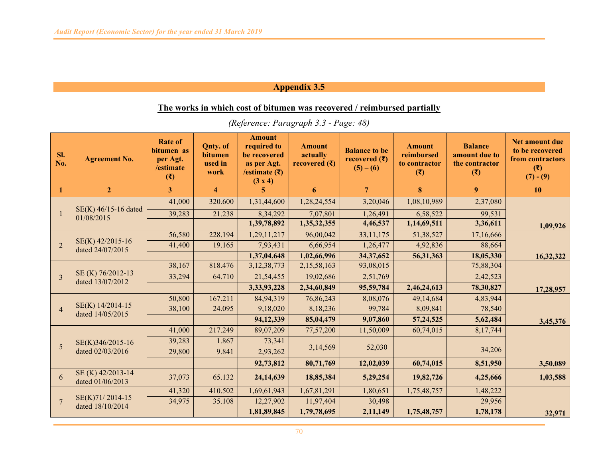### **The works in which cost of bitumen was recovered / reimbursed partially**

| Sl.<br>No.     | <b>Agreement No.</b>                  | <b>Rate of</b><br>bitumen as<br>per Agt.<br>/estimate<br>(3) | <b>Qnty.</b> of<br>bitumen<br>used in<br>work | <b>Amount</b><br>required to<br>be recovered<br>as per Agt.<br>/estimate $(\bar{\tau})$<br>(3 x 4) | <b>Amount</b><br>actually<br>recovered $(\overline{\mathbf{z}})$ | <b>Balance to be</b><br>recovered $(\bar{\zeta})$<br>$(5) - (6)$ | <b>Amount</b><br>reimbursed<br>to contractor<br>(3) | <b>Balance</b><br>amount due to<br>the contractor<br>$(\overline{\mathbf{x}})$ | <b>Net amount due</b><br>to be recovered<br>from contractors<br>$(\overline{\mathbf{x}})$<br>$(7) - (9)$ |
|----------------|---------------------------------------|--------------------------------------------------------------|-----------------------------------------------|----------------------------------------------------------------------------------------------------|------------------------------------------------------------------|------------------------------------------------------------------|-----------------------------------------------------|--------------------------------------------------------------------------------|----------------------------------------------------------------------------------------------------------|
| $\mathbf{1}$   | $\overline{2}$                        | $\overline{3}$                                               | $\overline{4}$                                | $\overline{5}$                                                                                     | 6                                                                | $\overline{7}$                                                   | 8                                                   | $\overline{9}$                                                                 | 10                                                                                                       |
|                | SE(K) 46/15-16 dated                  | 41,000                                                       | 320.600                                       | 1,31,44,600                                                                                        | 1,28,24,554                                                      | 3,20,046                                                         | 1,08,10,989                                         | 2,37,080                                                                       |                                                                                                          |
|                | 01/08/2015                            | 39,283                                                       | 21.238                                        | 8,34,292                                                                                           | 7,07,801                                                         | 1,26,491                                                         | 6,58,522                                            | 99,531                                                                         |                                                                                                          |
|                |                                       |                                                              |                                               | 1,39,78,892                                                                                        | 1,35,32,355                                                      | 4,46,537                                                         | 1,14,69,511                                         | 3,36,611                                                                       | 1,09,926                                                                                                 |
|                |                                       | 56,580                                                       | 228.194                                       | 1,29,11,217                                                                                        | 96,00,042                                                        | 33, 11, 175                                                      | 51,38,527                                           | 17,16,666                                                                      |                                                                                                          |
| $\overline{2}$ | SE(K) 42/2015-16<br>dated 24/07/2015  | 41,400                                                       | 19.165                                        | 7,93,431                                                                                           | 6,66,954                                                         | 1,26,477                                                         | 4,92,836                                            | 88,664                                                                         |                                                                                                          |
|                |                                       |                                                              |                                               | 1,37,04,648                                                                                        | 1,02,66,996                                                      | 34, 37, 652                                                      | 56,31,363                                           | 18,05,330                                                                      | 16,32,322                                                                                                |
|                |                                       | 38,167                                                       | 818.476                                       | 3, 12, 38, 773                                                                                     | 2,15,58,163                                                      | 93,08,015                                                        |                                                     | 75,88,304                                                                      |                                                                                                          |
| $\mathcal{E}$  | SE (K) 76/2012-13<br>dated 13/07/2012 | 33,294                                                       | 64.710                                        | 21,54,455                                                                                          | 19,02,686                                                        | 2,51,769                                                         |                                                     | 2,42,523                                                                       |                                                                                                          |
|                |                                       |                                                              |                                               | 3,33,93,228                                                                                        | 2,34,60,849                                                      | 95,59,784                                                        | 2,46,24,613                                         | 78,30,827                                                                      | 17,28,957                                                                                                |
|                |                                       | 50,800                                                       | 167.211                                       | 84,94,319                                                                                          | 76,86,243                                                        | 8,08,076                                                         | 49,14,684                                           | 4,83,944                                                                       |                                                                                                          |
| $\overline{4}$ | SE(K) 14/2014-15<br>dated 14/05/2015  | 38,100                                                       | 24.095                                        | 9,18,020                                                                                           | 8,18,236                                                         | 99,784                                                           | 8,09,841                                            | 78,540                                                                         |                                                                                                          |
|                |                                       |                                                              |                                               | 94,12,339                                                                                          | 85,04,479                                                        | 9,07,860                                                         | 57, 24, 525                                         | 5,62,484                                                                       | 3,45,376                                                                                                 |
|                |                                       | 41,000                                                       | 217.249                                       | 89,07,209                                                                                          | 77,57,200                                                        | 11,50,009                                                        | 60,74,015                                           | 8,17,744                                                                       |                                                                                                          |
|                | SE(K)346/2015-16                      | 39,283                                                       | 1.867                                         | 73,341                                                                                             |                                                                  |                                                                  |                                                     |                                                                                |                                                                                                          |
| 5              | dated 02/03/2016                      | 29,800                                                       | 9.841                                         | 2,93,262                                                                                           | 3,14,569                                                         | 52,030                                                           |                                                     | 34,206                                                                         |                                                                                                          |
|                |                                       |                                                              |                                               | 92,73,812                                                                                          | 80,71,769                                                        | 12,02,039                                                        | 60,74,015                                           | 8,51,950                                                                       | 3,50,089                                                                                                 |
| 6              | SE (K) 42/2013-14<br>dated 01/06/2013 | 37,073                                                       | 65.132                                        | 24, 14, 639                                                                                        | 18,85,384                                                        | 5,29,254                                                         | 19,82,726                                           | 4,25,666                                                                       | 1,03,588                                                                                                 |
|                |                                       | 41,320                                                       | 410.502                                       | 1,69,61,943                                                                                        | 1,67,81,291                                                      | 1,80,651                                                         | 1,75,48,757                                         | 1,48,222                                                                       |                                                                                                          |
| $\overline{7}$ | SE(K)71/2014-15<br>dated 18/10/2014   | 34,975                                                       | 35.108                                        | 12,27,902                                                                                          | 11,97,404                                                        | 30,498                                                           |                                                     | 29,956                                                                         |                                                                                                          |
|                |                                       |                                                              |                                               | 1,81,89,845                                                                                        | 1,79,78,695                                                      | 2,11,149                                                         | 1,75,48,757                                         | 1,78,178                                                                       | 32,971                                                                                                   |

*(Reference: Paragraph 3.3 - Page: 48)*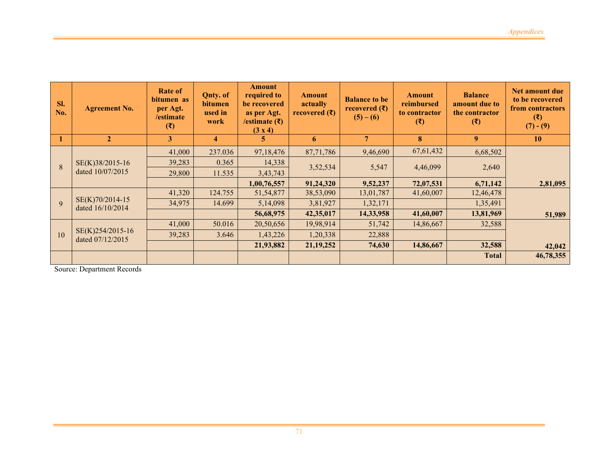| Sl.<br>No.       | <b>Agreement No.</b>                 | Rate of<br>bitumen as<br>per Agt.<br>/estimate<br>(3) | Qnty. of<br>bitumen<br>used in<br>work | <b>Amount</b><br>required to<br>be recovered<br>as per Agt.<br>/estimate $( ₹)$<br>(3 x 4) | <b>Amount</b><br>actually<br>recovered $(\bar{\mathbf{\xi}})$ | <b>Balance to be</b><br>recovered $(\bar{\mathbf{\bar{z}}})$<br>$(5) - (6)$ | <b>Amount</b><br>reimbursed<br>to contractor<br>$(\overline{\mathbf{x}})$ | <b>Balance</b><br>amount due to<br>the contractor<br>(3) | <b>Net amount due</b><br>to be recovered<br>from contractors<br>$(\overline{\mathbf{z}})$<br>$(7) - (9)$ |
|------------------|--------------------------------------|-------------------------------------------------------|----------------------------------------|--------------------------------------------------------------------------------------------|---------------------------------------------------------------|-----------------------------------------------------------------------------|---------------------------------------------------------------------------|----------------------------------------------------------|----------------------------------------------------------------------------------------------------------|
| $\blacksquare$ 1 | $\overline{2}$                       | 3                                                     | $\overline{\mathbf{4}}$                | 5                                                                                          | 6                                                             | $\overline{\tau}$                                                           | 8                                                                         | 9 <sup>°</sup>                                           | <b>10</b>                                                                                                |
|                  |                                      | 41,000                                                | 237.036                                | 97,18,476                                                                                  | 87,71,786                                                     | 9,46,690                                                                    | 67,61,432                                                                 | 6,68,502                                                 |                                                                                                          |
| $\mathbf{8}$     | SE(K)38/2015-16<br>dated 10/07/2015  | 39,283                                                | 0.365                                  | 14,338                                                                                     | 3,52,534                                                      | 5,547                                                                       | 4,46,099                                                                  | 2,640                                                    |                                                                                                          |
|                  |                                      | 29,800                                                | 11.535                                 | 3,43,743                                                                                   |                                                               |                                                                             |                                                                           |                                                          |                                                                                                          |
|                  |                                      |                                                       |                                        | 1,00,76,557                                                                                | 91,24,320                                                     | 9,52,237                                                                    | 72,07,531                                                                 | 6,71,142                                                 | 2,81,095                                                                                                 |
|                  |                                      | 41,320                                                | 124.755                                | 51,54,877                                                                                  | 38,53,090                                                     | 13,01,787                                                                   | 41,60,007                                                                 | 12,46,478                                                |                                                                                                          |
| $\mathbf{Q}$     | SE(K)70/2014-15<br>dated 16/10/2014  | 34,975                                                | 14.699                                 | 5,14,098                                                                                   | 3,81,927                                                      | 1,32,171                                                                    |                                                                           | 1,35,491                                                 |                                                                                                          |
|                  |                                      |                                                       |                                        | 56,68,975                                                                                  | 42,35,017                                                     | 14,33,958                                                                   | 41,60,007                                                                 | 13,81,969                                                | 51,989                                                                                                   |
|                  |                                      | 41,000                                                | 50.016                                 | 20,50,656                                                                                  | 19,98,914                                                     | 51,742                                                                      | 14,86,667                                                                 | 32,588                                                   |                                                                                                          |
| 10               | SE(K)254/2015-16<br>dated 07/12/2015 | 39,283                                                | 3.646                                  | 1,43,226                                                                                   | 1,20,338                                                      | 22,888                                                                      |                                                                           |                                                          |                                                                                                          |
|                  |                                      |                                                       |                                        | 21,93,882                                                                                  | 21, 19, 252                                                   | 74,630                                                                      | 14,86,667                                                                 | 32,588                                                   | 42,042                                                                                                   |
|                  |                                      |                                                       |                                        |                                                                                            |                                                               |                                                                             |                                                                           | <b>Total</b>                                             | 46,78,355                                                                                                |